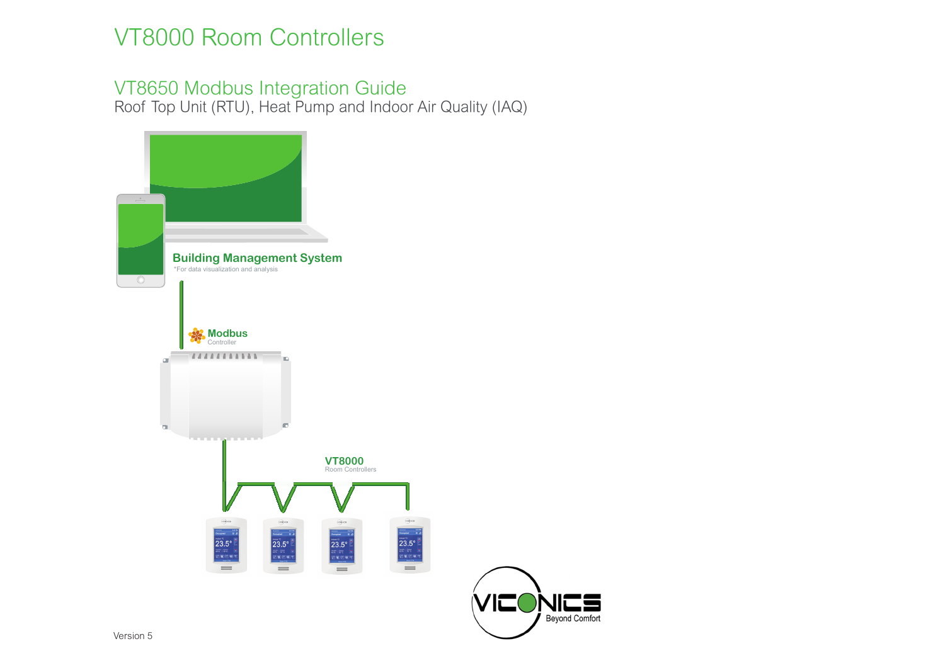# VT8000 Room Controllers

## VT8650 Modbus Integration Guide

Roof Top Unit (RTU), Heat Pump and Indoor Air Quality (IAQ)



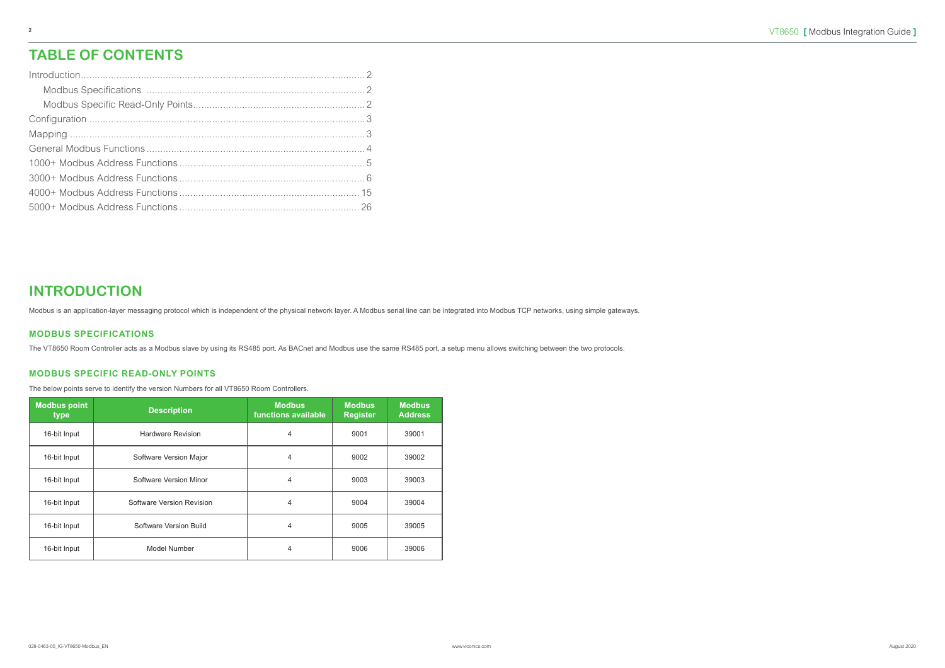#### **INTRODUCTION**

Modbus is an application-layer messaging protocol which is independent of the physical network layer. A Modbus serial line can be integrated into Modbus TCP networks, using simple gateways.

#### **MODBUS SPECIFICATIONS**

The VT8650 Room Controller acts as a Modbus slave by using its RS485 port. As BACnet and Modbus use the same RS485 port, a setup menu allows switching between the two protocols.

#### **MODBUS SPECIFIC READ-ONLY POINTS**

The below points serve to identify the version Numbers for all VT8650 Room Controllers.

| <b>Modbus point</b><br>type | <b>Description</b>        | <b>Modbus</b><br>functions available | <b>Modbus</b><br><b>Register</b> | <b>Modbus</b><br><b>Address</b> |
|-----------------------------|---------------------------|--------------------------------------|----------------------------------|---------------------------------|
| 16-bit Input                | <b>Hardware Revision</b>  | 4                                    | 9001                             | 39001                           |
| 16-bit Input                | Software Version Major    | 4                                    | 9002                             | 39002                           |
| 16-bit Input                | Software Version Minor    | 4                                    | 9003                             | 39003                           |
| 16-bit Input                | Software Version Revision | 4                                    | 9004                             | 39004                           |
| 16-bit Input                | Software Version Build    | 4                                    | 9005                             | 39005                           |
| 16-bit Input                | Model Number              | 4                                    | 9006                             | 39006                           |

### **TABLE OF CONTENTS**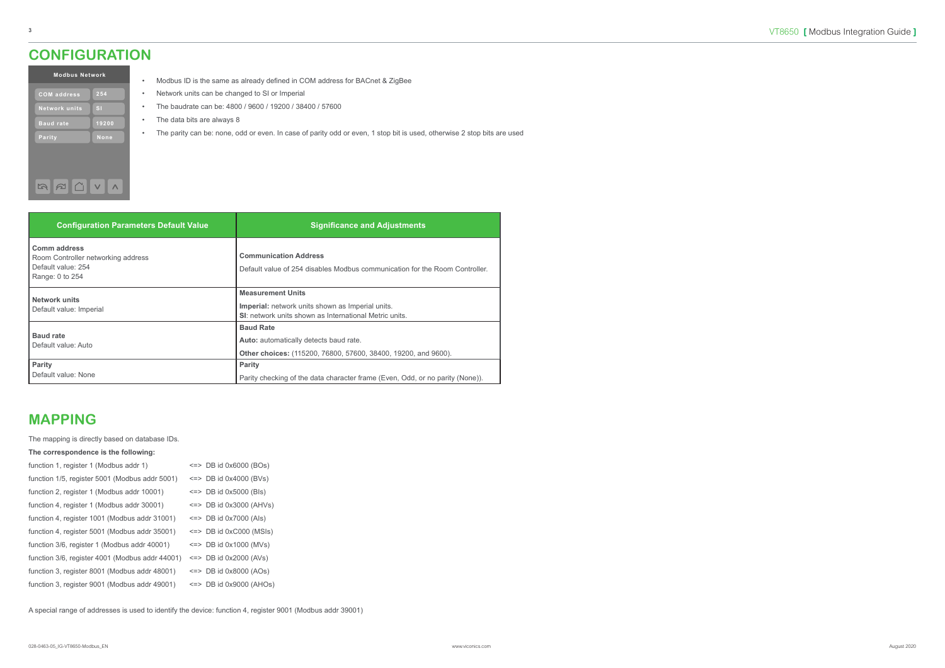#### **MAPPING**

The mapping is directly based on database IDs.

#### **The correspondence is the following:**

| function 1, register 1 (Modbus addr 1)          | $\le$ => DB id 0x6000 (BOs)  |
|-------------------------------------------------|------------------------------|
| function 1/5, register 5001 (Modbus addr 5001)  | $\leq$ DB id 0x4000 (BVs)    |
| function 2, register 1 (Modbus addr 10001)      | $\le$ => DB id 0x5000 (Bls)  |
| function 4, register 1 (Modbus addr 30001)      | $\le$ => DB id 0x3000 (AHVs) |
| function 4, register 1001 (Modbus addr 31001)   | $\leq$ DB id 0x7000 (Als)    |
| function 4, register 5001 (Modbus addr 35001)   | $\le$ => DB id 0xC000 (MSIs) |
| function 3/6, register 1 (Modbus addr 40001)    | $\leq$ DB id 0x1000 (MVs)    |
| function 3/6, register 4001 (Modbus addr 44001) | $\le$ => DB id 0x2000 (AVs)  |
| function 3, register 8001 (Modbus addr 48001)   | $\leq$ DB id 0x8000 (AOs)    |
| function 3, register 9001 (Modbus addr 49001)   | $\le$ => DB id 0x9000 (AHOs) |

A special range of addresses is used to identify the device: function 4, register 9001 (Modbus addr 39001)

| <b>Modbus Network</b> |  |  |  |  |  |  |  |  |
|-----------------------|--|--|--|--|--|--|--|--|
| 254                   |  |  |  |  |  |  |  |  |
| $\mathbf{S}$          |  |  |  |  |  |  |  |  |
| 19200                 |  |  |  |  |  |  |  |  |
| None                  |  |  |  |  |  |  |  |  |
|                       |  |  |  |  |  |  |  |  |
|                       |  |  |  |  |  |  |  |  |

- Modbus ID is the same as already defined in COM address for BACnet & ZigBee
- Network units can be changed to SI or Imperial
- The baudrate can be: 4800 / 9600 / 19200 / 38400 / 57600
- The data bits are always 8
- The parity can be: none, odd or even. In case of parity odd or even, 1 stop bit is used, otherwise 2 stop bits are used

| <b>Configuration Parameters Default Value</b>                                                      | <b>Significance and Adjustments</b>                                                                                                           |
|----------------------------------------------------------------------------------------------------|-----------------------------------------------------------------------------------------------------------------------------------------------|
| <b>Comm address</b><br>Room Controller networking address<br>Default value: 254<br>Range: 0 to 254 | <b>Communication Address</b><br>Default value of 254 disables Modbus communication for the Room Controller.                                   |
| <b>Network units</b><br>Default value: Imperial                                                    | <b>Measurement Units</b><br><b>Imperial:</b> network units shown as Imperial units.<br>SI: network units shown as International Metric units. |
| <b>Baud rate</b><br>Default value: Auto                                                            | <b>Baud Rate</b><br><b>Auto:</b> automatically detects baud rate.<br>Other choices: (115200, 76800, 57600, 38400, 19200, and 9600).           |
| Parity<br>Default value: None                                                                      | <b>Parity</b><br>Parity checking of the data character frame (Even, Odd, or no parity (None)).                                                |

#### <span id="page-2-0"></span>**CONFIGURATION**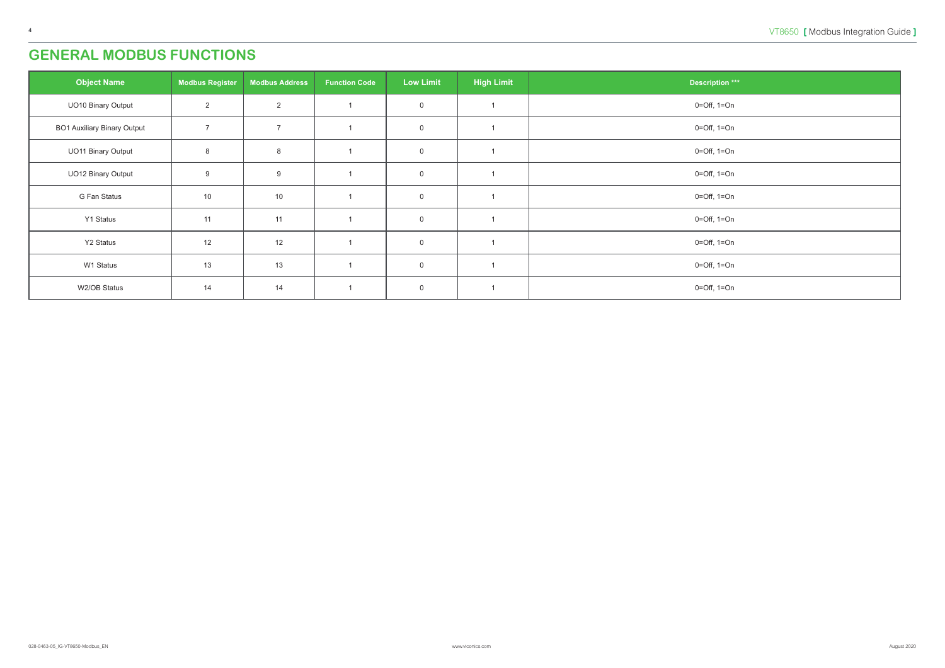### <span id="page-3-0"></span>**GENERAL MODBUS FUNCTIONS**

| <b>Object Name</b>                 | <b>Modbus Register</b> | <b>Modbus Address</b> | <b>Function Code</b> | <b>Low Limit</b>    | <b>High Limit</b> | <b>Description ***</b> |
|------------------------------------|------------------------|-----------------------|----------------------|---------------------|-------------------|------------------------|
| UO10 Binary Output                 | $\overline{2}$         | $\overline{2}$        |                      | $\mathsf{O}\xspace$ |                   | $0 = Off$ , $1 = On$   |
| <b>BO1 Auxiliary Binary Output</b> | $\overline{7}$         | $\overline{7}$        |                      | $\mathsf 0$         |                   | $0 = Off$ , $1 = On$   |
| <b>UO11 Binary Output</b>          | 8                      | 8                     |                      | $\mathbf 0$         |                   | $0 = Off$ , $1 = On$   |
| UO12 Binary Output                 | 9                      | $9\,$                 |                      | $\overline{0}$      |                   | $0 = Off$ , $1 = On$   |
| G Fan Status                       | 10                     | 10                    |                      | $\mathsf 0$         |                   | $0 = Off$ , $1 = On$   |
| Y1 Status                          | 11                     | 11                    |                      | $\overline{0}$      |                   | $0 = Off$ , $1 = On$   |
| Y2 Status                          | 12                     | 12                    |                      | $\overline{0}$      |                   | $0 = Off$ , $1 = On$   |
| W1 Status                          | 13                     | 13                    |                      | $\mathbf 0$         |                   | $0 = Off$ , $1 = On$   |
| W2/OB Status                       | 14                     | 14                    |                      | $\mathbf 0$         |                   | $0 = Off$ , $1 = On$   |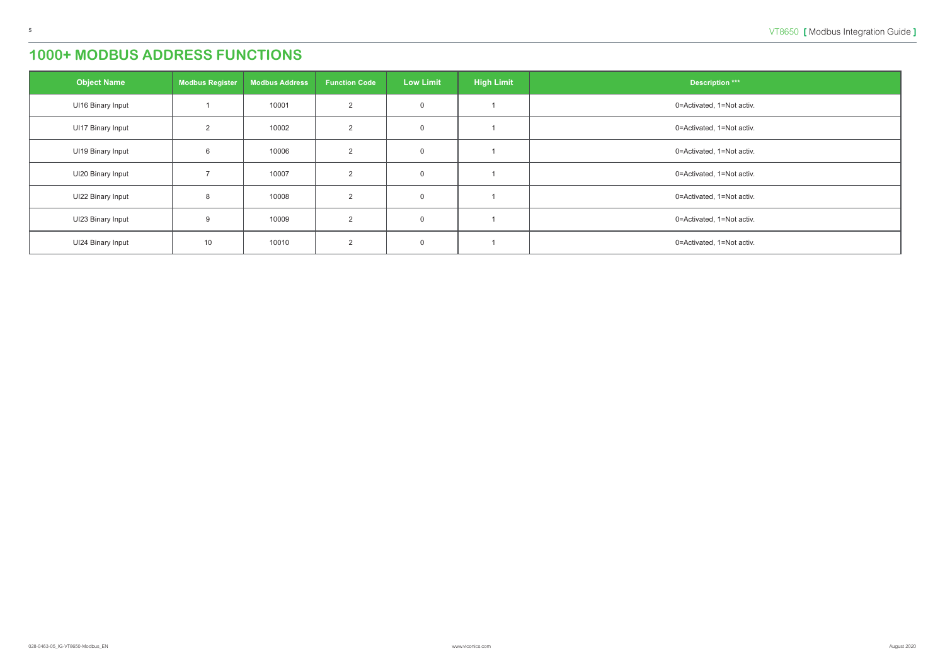<span id="page-4-0"></span>

| <b>Object Name</b>       | <b>Modbus Register</b> | <b>Modbus Address</b> | <b>Function Code</b> | <b>Low Limit</b> | <b>High Limit</b> | <b>Description ***</b>    |
|--------------------------|------------------------|-----------------------|----------------------|------------------|-------------------|---------------------------|
| <b>UI16 Binary Input</b> |                        | 10001                 | 2                    | $\mathbf 0$      |                   | 0=Activated, 1=Not activ. |
| <b>UI17 Binary Input</b> | 2                      | 10002                 | $\overline{2}$       | $\overline{0}$   |                   | 0=Activated, 1=Not activ. |
| <b>UI19 Binary Input</b> | 6                      | 10006                 | 2                    | $\mathbf 0$      |                   | 0=Activated, 1=Not activ. |
| UI20 Binary Input        |                        | 10007                 | 2                    | $\overline{0}$   |                   | 0=Activated, 1=Not activ. |
| UI22 Binary Input        | 8                      | 10008                 | 2                    | $\overline{0}$   |                   | 0=Activated, 1=Not activ. |
| UI23 Binary Input        | $\mathbf{Q}$           | 10009                 | 2                    | $\overline{0}$   |                   | 0=Activated, 1=Not activ. |
| <b>UI24 Binary Input</b> | 10                     | 10010                 | $\overline{2}$       | $\overline{0}$   |                   | 0=Activated, 1=Not activ. |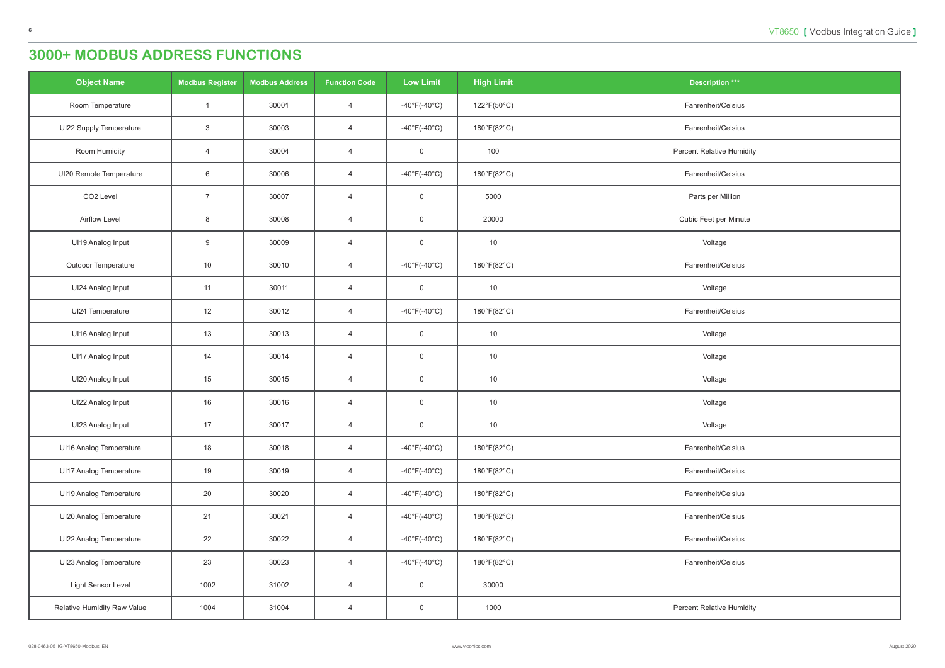<span id="page-5-0"></span>

| <b>Object Name</b>                 | <b>Modbus Register</b> | <b>Modbus Address</b> | <b>Function Code</b> | <b>Low Limit</b>                  | <b>High Limit</b> | <b>Description ***</b>           |
|------------------------------------|------------------------|-----------------------|----------------------|-----------------------------------|-------------------|----------------------------------|
| Room Temperature                   |                        | 30001                 | $\overline{4}$       | $-40^{\circ}$ F(-40 $^{\circ}$ C) | 122°F(50°C)       | Fahrenheit/Celsius               |
| <b>UI22 Supply Temperature</b>     | $\mathbf{3}$           | 30003                 | $\overline{4}$       | $-40^{\circ}$ F(-40 $^{\circ}$ C) | 180°F(82°C)       | Fahrenheit/Celsius               |
| Room Humidity                      | $\overline{4}$         | 30004                 | $\overline{4}$       | $\overline{0}$                    | 100               | <b>Percent Relative Humidity</b> |
| UI20 Remote Temperature            | $6\phantom{.}6$        | 30006                 | $\overline{4}$       | $-40^{\circ}F(-40^{\circ}C)$      | 180°F(82°C)       | Fahrenheit/Celsius               |
| CO <sub>2</sub> Level              | $\overline{7}$         | 30007                 | $\overline{4}$       | $\overline{0}$                    | 5000              | Parts per Million                |
| Airflow Level                      | $8\phantom{1}$         | 30008                 | $\overline{4}$       | $\overline{0}$                    | 20000             | Cubic Feet per Minute            |
| UI19 Analog Input                  | 9                      | 30009                 | $\overline{4}$       | $\overline{0}$                    | 10                | Voltage                          |
| Outdoor Temperature                | 10                     | 30010                 | $\overline{4}$       | $-40^{\circ}$ F(-40 $^{\circ}$ C) | 180°F(82°C)       | Fahrenheit/Celsius               |
| UI24 Analog Input                  | 11                     | 30011                 | $\overline{4}$       | $\overline{0}$                    | 10                | Voltage                          |
| UI24 Temperature                   | 12                     | 30012                 | $\overline{4}$       | -40°F(-40°C)                      | 180°F(82°C)       | Fahrenheit/Celsius               |
| <b>UI16 Analog Input</b>           | 13                     | 30013                 | $\overline{4}$       | $\mathbf 0$                       | 10                | Voltage                          |
| UI17 Analog Input                  | 14                     | 30014                 | $\overline{4}$       | $\overline{0}$                    | 10                | Voltage                          |
| UI20 Analog Input                  | 15                     | 30015                 | $\overline{4}$       | $\overline{0}$                    | 10                | Voltage                          |
| UI22 Analog Input                  | 16                     | 30016                 | $\overline{4}$       | $\overline{0}$                    | 10                | Voltage                          |
| UI23 Analog Input                  | 17                     | 30017                 | $\overline{4}$       | $\overline{0}$                    | 10                | Voltage                          |
| <b>UI16 Analog Temperature</b>     | 18                     | 30018                 | $\overline{4}$       | $-40^{\circ}$ F(-40 $^{\circ}$ C) | 180°F(82°C)       | Fahrenheit/Celsius               |
| <b>UI17 Analog Temperature</b>     | 19                     | 30019                 | $\overline{4}$       | $-40^{\circ}$ F(-40 $^{\circ}$ C) | 180°F(82°C)       | Fahrenheit/Celsius               |
| UI19 Analog Temperature            | 20                     | 30020                 | $\overline{4}$       | $-40^{\circ}$ F(-40 $^{\circ}$ C) | 180°F(82°C)       | Fahrenheit/Celsius               |
| UI20 Analog Temperature            | 21                     | 30021                 | $\overline{4}$       | $-40^{\circ}$ F(-40 $^{\circ}$ C) | 180°F(82°C)       | Fahrenheit/Celsius               |
| UI22 Analog Temperature            | 22                     | 30022                 | $\overline{4}$       | -40°F(-40°C)                      | 180°F(82°C)       | Fahrenheit/Celsius               |
| UI23 Analog Temperature            | 23                     | 30023                 | $\overline{4}$       | $-40^{\circ}$ F(-40 $^{\circ}$ C) | 180°F(82°C)       | Fahrenheit/Celsius               |
| Light Sensor Level                 | 1002                   | 31002                 | $\overline{4}$       | $\overline{0}$                    | 30000             |                                  |
| <b>Relative Humidity Raw Value</b> | 1004                   | 31004                 | $\overline{4}$       | $\overline{0}$                    | 1000              | <b>Percent Relative Humidity</b> |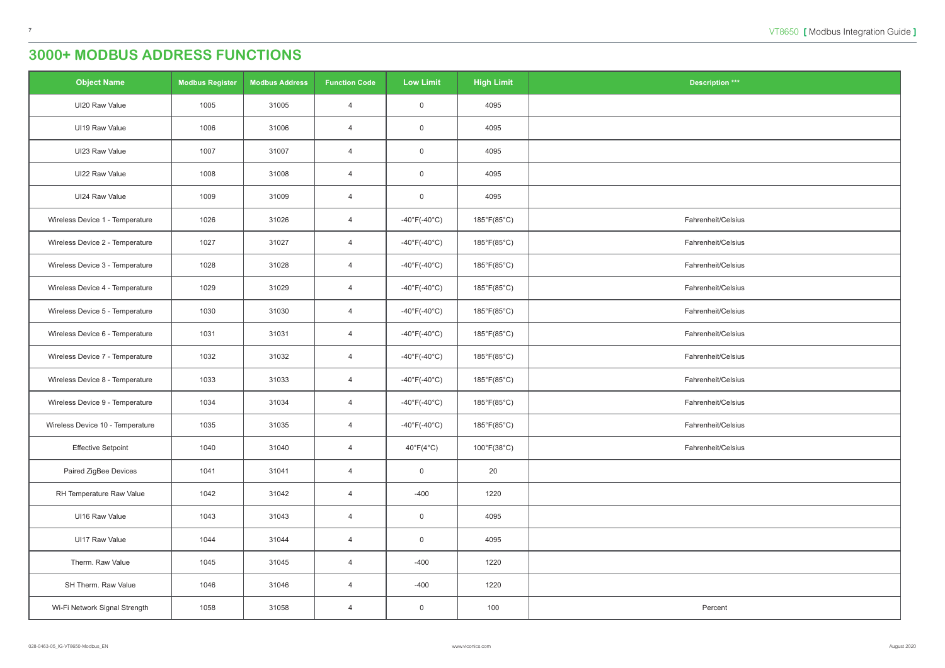| <b>Object Name</b>               | <b>Modbus Register</b> | <b>Modbus Address</b> | <b>Function Code</b> | <b>Low Limit</b>                  | <b>High Limit</b>                | <b>Description ***</b> |
|----------------------------------|------------------------|-----------------------|----------------------|-----------------------------------|----------------------------------|------------------------|
| UI20 Raw Value                   | 1005                   | 31005                 | $\overline{4}$       | $\overline{0}$                    | 4095                             |                        |
| UI19 Raw Value                   | 1006                   | 31006                 | $\overline{4}$       | $\overline{0}$                    | 4095                             |                        |
| UI23 Raw Value                   | 1007                   | 31007                 | $\overline{4}$       | $\overline{0}$                    | 4095                             |                        |
| UI22 Raw Value                   | 1008                   | 31008                 | $\overline{4}$       | $\mathbf 0$                       | 4095                             |                        |
| UI24 Raw Value                   | 1009                   | 31009                 | $\overline{4}$       | $\overline{0}$                    | 4095                             |                        |
| Wireless Device 1 - Temperature  | 1026                   | 31026                 | $\overline{4}$       | -40°F(-40°C)                      | 185°F(85°C)                      | Fahrenheit/Celsius     |
| Wireless Device 2 - Temperature  | 1027                   | 31027                 | $\overline{4}$       | $-40^{\circ}$ F(-40 $^{\circ}$ C) | 185°F(85°C)                      | Fahrenheit/Celsius     |
| Wireless Device 3 - Temperature  | 1028                   | 31028                 | $\overline{4}$       | -40°F(-40°C)                      | 185°F(85°C)                      | Fahrenheit/Celsius     |
| Wireless Device 4 - Temperature  | 1029                   | 31029                 | $\overline{4}$       | $-40^{\circ}$ F(-40 $^{\circ}$ C) | 185°F(85°C)                      | Fahrenheit/Celsius     |
| Wireless Device 5 - Temperature  | 1030                   | 31030                 | $\overline{4}$       | -40 $\degree$ F(-40 $\degree$ C)  | 185°F(85°C)                      | Fahrenheit/Celsius     |
| Wireless Device 6 - Temperature  | 1031                   | 31031                 | $\overline{4}$       | -40°F(-40°C)                      | 185°F(85°C)                      | Fahrenheit/Celsius     |
| Wireless Device 7 - Temperature  | 1032                   | 31032                 | $\overline{4}$       | $-40^{\circ}$ F(-40 $^{\circ}$ C) | 185°F(85°C)                      | Fahrenheit/Celsius     |
| Wireless Device 8 - Temperature  | 1033                   | 31033                 | $\overline{4}$       | $-40^{\circ}$ F(-40 $^{\circ}$ C) | 185°F(85°C)                      | Fahrenheit/Celsius     |
| Wireless Device 9 - Temperature  | 1034                   | 31034                 | $\overline{4}$       | $-40^{\circ}$ F(-40 $^{\circ}$ C) | 185°F(85°C)                      | Fahrenheit/Celsius     |
| Wireless Device 10 - Temperature | 1035                   | 31035                 | $\overline{4}$       | $-40^{\circ}$ F(-40 $^{\circ}$ C) | 185°F(85°C)                      | Fahrenheit/Celsius     |
| <b>Effective Setpoint</b>        | 1040                   | 31040                 | $\overline{4}$       | $40^{\circ}F(4^{\circ}C)$         | $100^{\circ}$ F(38 $^{\circ}$ C) | Fahrenheit/Celsius     |
| Paired ZigBee Devices            | 1041                   | 31041                 | $\overline{4}$       | $\overline{0}$                    | 20                               |                        |
| RH Temperature Raw Value         | 1042                   | 31042                 | $\overline{4}$       | $-400$                            | 1220                             |                        |
| UI16 Raw Value                   | 1043                   | 31043                 | $\overline{4}$       | $\overline{0}$                    | 4095                             |                        |
| UI17 Raw Value                   | 1044                   | 31044                 | $\overline{4}$       | $\mathsf{O}$                      | 4095                             |                        |
| Therm. Raw Value                 | 1045                   | 31045                 | $\overline{4}$       | $-400$                            | 1220                             |                        |
| SH Therm. Raw Value              | 1046                   | 31046                 | $\overline{4}$       | $-400$                            | 1220                             |                        |
| Wi-Fi Network Signal Strength    | 1058                   | 31058                 | $\overline{4}$       | $\overline{0}$                    | 100                              | Percent                |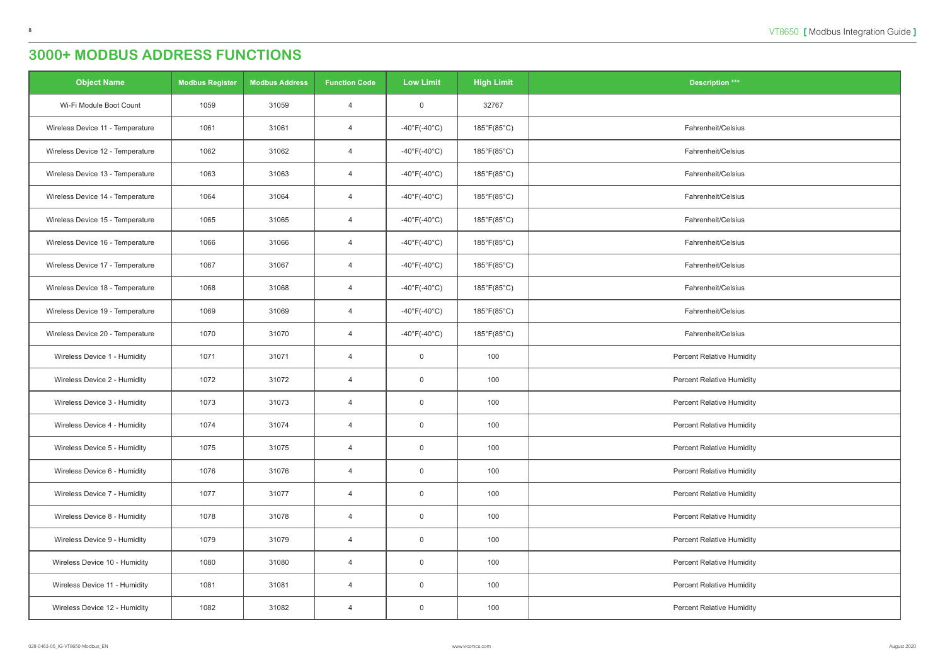| <b>Object Name</b>               | <b>Modbus Register</b> | <b>Modbus Address</b> | <b>Function Code</b> | <b>Low Limit</b>                  | <b>High Limit</b>           | <b>Description ***</b>           |
|----------------------------------|------------------------|-----------------------|----------------------|-----------------------------------|-----------------------------|----------------------------------|
| Wi-Fi Module Boot Count          | 1059                   | 31059                 | $\overline{4}$       | $\overline{0}$                    | 32767                       |                                  |
| Wireless Device 11 - Temperature | 1061                   | 31061                 | $\overline{4}$       | $-40^{\circ}$ F(-40 $^{\circ}$ C) | 185°F(85°C)                 | Fahrenheit/Celsius               |
| Wireless Device 12 - Temperature | 1062                   | 31062                 | $\overline{4}$       | -40°F(-40°C)                      | $185^{\circ}F(85^{\circ}C)$ | Fahrenheit/Celsius               |
| Wireless Device 13 - Temperature | 1063                   | 31063                 | $\overline{4}$       | $-40^{\circ}$ F(-40 $^{\circ}$ C) | $185^{\circ}F(85^{\circ}C)$ | Fahrenheit/Celsius               |
| Wireless Device 14 - Temperature | 1064                   | 31064                 | $\overline{4}$       | $-40^{\circ}$ F(-40 $^{\circ}$ C) | $185^{\circ}F(85^{\circ}C)$ | Fahrenheit/Celsius               |
| Wireless Device 15 - Temperature | 1065                   | 31065                 | $\overline{4}$       | $-40^{\circ}$ F(-40 $^{\circ}$ C) | $185^{\circ}F(85^{\circ}C)$ | Fahrenheit/Celsius               |
| Wireless Device 16 - Temperature | 1066                   | 31066                 | $\overline{4}$       | $-40^{\circ}$ F(-40 $^{\circ}$ C) | 185°F(85°C)                 | Fahrenheit/Celsius               |
| Wireless Device 17 - Temperature | 1067                   | 31067                 | $\overline{4}$       | $-40^{\circ}$ F(-40 $^{\circ}$ C) | 185°F(85°C)                 | Fahrenheit/Celsius               |
| Wireless Device 18 - Temperature | 1068                   | 31068                 | $\overline{4}$       | $-40^{\circ}$ F( $-40^{\circ}$ C) | $185^{\circ}F(85^{\circ}C)$ | Fahrenheit/Celsius               |
| Wireless Device 19 - Temperature | 1069                   | 31069                 | $\overline{4}$       | $-40^{\circ}$ F(-40 $^{\circ}$ C) | $185^{\circ}F(85^{\circ}C)$ | Fahrenheit/Celsius               |
| Wireless Device 20 - Temperature | 1070                   | 31070                 | $\overline{4}$       | $-40^{\circ}$ F(-40 $^{\circ}$ C) | $185^{\circ}F(85^{\circ}C)$ | Fahrenheit/Celsius               |
| Wireless Device 1 - Humidity     | 1071                   | 31071                 | $\overline{4}$       | $\overline{0}$                    | 100                         | <b>Percent Relative Humidity</b> |
| Wireless Device 2 - Humidity     | 1072                   | 31072                 | $\overline{4}$       | $\overline{0}$                    | 100                         | <b>Percent Relative Humidity</b> |
| Wireless Device 3 - Humidity     | 1073                   | 31073                 | $\overline{4}$       | $\overline{0}$                    | 100                         | <b>Percent Relative Humidity</b> |
| Wireless Device 4 - Humidity     | 1074                   | 31074                 | $\overline{4}$       | $\overline{0}$                    | 100                         | <b>Percent Relative Humidity</b> |
| Wireless Device 5 - Humidity     | 1075                   | 31075                 | $\overline{4}$       | $\overline{0}$                    | 100                         | <b>Percent Relative Humidity</b> |
| Wireless Device 6 - Humidity     | 1076                   | 31076                 | $\overline{4}$       | $\overline{0}$                    | 100                         | <b>Percent Relative Humidity</b> |
| Wireless Device 7 - Humidity     | 1077                   | 31077                 | $\overline{4}$       | $\overline{0}$                    | 100                         | <b>Percent Relative Humidity</b> |
| Wireless Device 8 - Humidity     | 1078                   | 31078                 | $\overline{4}$       | $\overline{0}$                    | 100                         | <b>Percent Relative Humidity</b> |
| Wireless Device 9 - Humidity     | 1079                   | 31079                 | $\overline{4}$       | $\overline{0}$                    | 100                         | <b>Percent Relative Humidity</b> |
| Wireless Device 10 - Humidity    | 1080                   | 31080                 | $\overline{4}$       | $\mathsf 0$                       | 100                         | <b>Percent Relative Humidity</b> |
| Wireless Device 11 - Humidity    | 1081                   | 31081                 | $\overline{4}$       | $\overline{0}$                    | 100                         | <b>Percent Relative Humidity</b> |
| Wireless Device 12 - Humidity    | 1082                   | 31082                 | $\overline{4}$       | $\overline{0}$                    | 100                         | <b>Percent Relative Humidity</b> |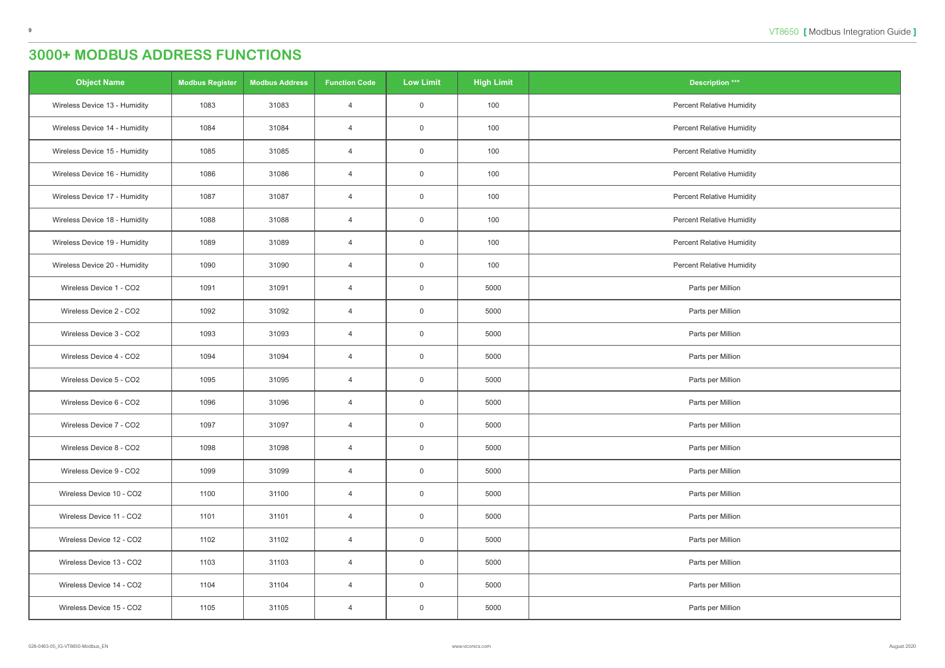| <b>Object Name</b>            | <b>Modbus Register</b> | <b>Modbus Address</b> | <b>Function Code</b> | <b>Low Limit</b> | <b>High Limit</b> | <b>Description ***</b>           |
|-------------------------------|------------------------|-----------------------|----------------------|------------------|-------------------|----------------------------------|
| Wireless Device 13 - Humidity | 1083                   | 31083                 | $\overline{4}$       | $\overline{0}$   | 100               | <b>Percent Relative Humidity</b> |
| Wireless Device 14 - Humidity | 1084                   | 31084                 | $\overline{4}$       | $\overline{0}$   | 100               | <b>Percent Relative Humidity</b> |
| Wireless Device 15 - Humidity | 1085                   | 31085                 | $\overline{4}$       | $\overline{0}$   | 100               | <b>Percent Relative Humidity</b> |
| Wireless Device 16 - Humidity | 1086                   | 31086                 | $\overline{4}$       | $\overline{0}$   | 100               | <b>Percent Relative Humidity</b> |
| Wireless Device 17 - Humidity | 1087                   | 31087                 | $\overline{4}$       | $\boldsymbol{0}$ | 100               | <b>Percent Relative Humidity</b> |
| Wireless Device 18 - Humidity | 1088                   | 31088                 | $\overline{4}$       | $\overline{0}$   | 100               | <b>Percent Relative Humidity</b> |
| Wireless Device 19 - Humidity | 1089                   | 31089                 | $\overline{4}$       | $\mathsf 0$      | 100               | <b>Percent Relative Humidity</b> |
| Wireless Device 20 - Humidity | 1090                   | 31090                 | $\overline{4}$       | $\overline{0}$   | 100               | <b>Percent Relative Humidity</b> |
| Wireless Device 1 - CO2       | 1091                   | 31091                 | $\overline{4}$       | $\overline{0}$   | 5000              | Parts per Million                |
| Wireless Device 2 - CO2       | 1092                   | 31092                 | $\overline{4}$       | $\overline{0}$   | 5000              | Parts per Million                |
| Wireless Device 3 - CO2       | 1093                   | 31093                 | $\overline{4}$       | $\overline{0}$   | 5000              | Parts per Million                |
| Wireless Device 4 - CO2       | 1094                   | 31094                 | $\overline{4}$       | $\overline{0}$   | 5000              | Parts per Million                |
| Wireless Device 5 - CO2       | 1095                   | 31095                 | $\overline{4}$       | $\overline{0}$   | 5000              | Parts per Million                |
| Wireless Device 6 - CO2       | 1096                   | 31096                 | $\overline{4}$       | $\overline{0}$   | 5000              | Parts per Million                |
| Wireless Device 7 - CO2       | 1097                   | 31097                 | $\overline{4}$       | $\overline{0}$   | 5000              | Parts per Million                |
| Wireless Device 8 - CO2       | 1098                   | 31098                 | $\overline{4}$       | $\mathsf 0$      | 5000              | Parts per Million                |
| Wireless Device 9 - CO2       | 1099                   | 31099                 | $\overline{4}$       | $\overline{0}$   | 5000              | Parts per Million                |
| Wireless Device 10 - CO2      | 1100                   | 31100                 | $\overline{4}$       | $\overline{0}$   | 5000              | Parts per Million                |
| Wireless Device 11 - CO2      | 1101                   | 31101                 | $\overline{4}$       | $\overline{0}$   | 5000              | Parts per Million                |
| Wireless Device 12 - CO2      | 1102                   | 31102                 | $\overline{4}$       | $\mathsf 0$      | 5000              | Parts per Million                |
| Wireless Device 13 - CO2      | 1103                   | 31103                 | $\overline{4}$       | $\overline{0}$   | 5000              | Parts per Million                |
| Wireless Device 14 - CO2      | 1104                   | 31104                 | $\overline{4}$       | $\overline{0}$   | 5000              | Parts per Million                |
| Wireless Device 15 - CO2      | 1105                   | 31105                 | $\overline{4}$       | $\overline{0}$   | 5000              | Parts per Million                |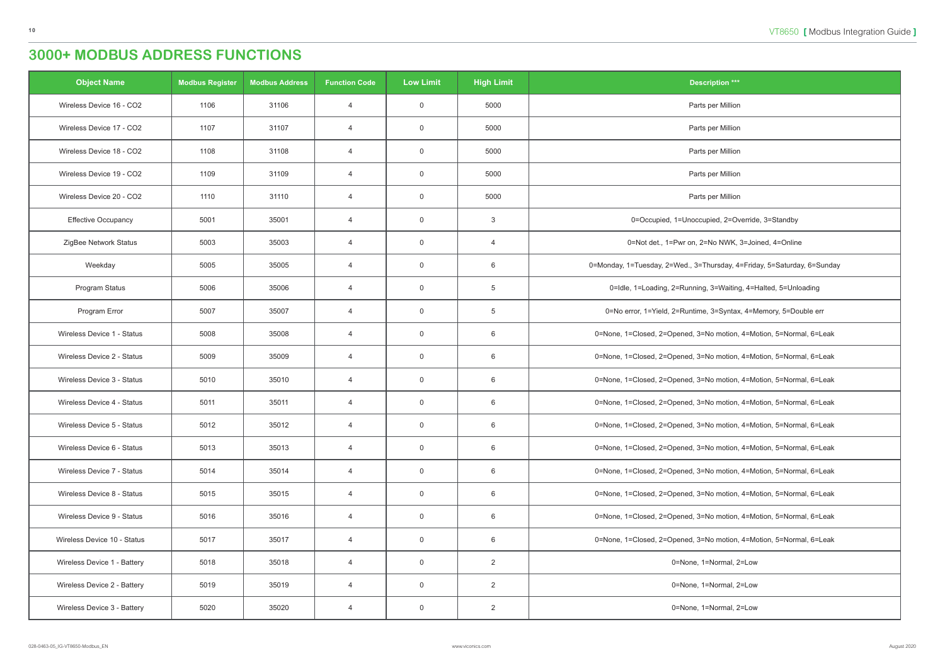| <b>Object Name</b>          | <b>Modbus Register</b> | <b>Modbus Address</b> | <b>Function Code</b> | <b>Low Limit</b> | <b>High Limit</b> | <b>Description ***</b>                                                  |
|-----------------------------|------------------------|-----------------------|----------------------|------------------|-------------------|-------------------------------------------------------------------------|
| Wireless Device 16 - CO2    | 1106                   | 31106                 | $\overline{4}$       | $\overline{0}$   | 5000              | Parts per Million                                                       |
| Wireless Device 17 - CO2    | 1107                   | 31107                 | $\overline{4}$       | $\overline{0}$   | 5000              | Parts per Million                                                       |
| Wireless Device 18 - CO2    | 1108                   | 31108                 | $\overline{4}$       | $\overline{0}$   | 5000              | Parts per Million                                                       |
| Wireless Device 19 - CO2    | 1109                   | 31109                 | $\overline{4}$       | $\overline{0}$   | 5000              | Parts per Million                                                       |
| Wireless Device 20 - CO2    | 1110                   | 31110                 | $\overline{4}$       | $\overline{0}$   | 5000              | Parts per Million                                                       |
| <b>Effective Occupancy</b>  | 5001                   | 35001                 | $\overline{4}$       | $\overline{0}$   | 3                 | 0=Occupied, 1=Unoccupied, 2=Override, 3=Standby                         |
| ZigBee Network Status       | 5003                   | 35003                 | $\overline{4}$       | $\overline{0}$   | $\overline{4}$    | 0=Not det., 1=Pwr on, 2=No NWK, 3=Joined, 4=Online                      |
| Weekday                     | 5005                   | 35005                 | $\overline{4}$       | $\overline{0}$   | 6                 | 0=Monday, 1=Tuesday, 2=Wed., 3=Thursday, 4=Friday, 5=Saturday, 6=Sunday |
| Program Status              | 5006                   | 35006                 | $\overline{4}$       | $\overline{0}$   | 5                 | 0=Idle, 1=Loading, 2=Running, 3=Waiting, 4=Halted, 5=Unloading          |
| Program Error               | 5007                   | 35007                 | $\overline{4}$       | $\overline{0}$   | 5                 | 0=No error, 1=Yield, 2=Runtime, 3=Syntax, 4=Memory, 5=Double err        |
| Wireless Device 1 - Status  | 5008                   | 35008                 | $\overline{4}$       | $\overline{0}$   | 6                 | 0=None, 1=Closed, 2=Opened, 3=No motion, 4=Motion, 5=Normal, 6=Leak     |
| Wireless Device 2 - Status  | 5009                   | 35009                 | $\overline{4}$       | $\overline{0}$   | 6                 | 0=None, 1=Closed, 2=Opened, 3=No motion, 4=Motion, 5=Normal, 6=Leak     |
| Wireless Device 3 - Status  | 5010                   | 35010                 | $\overline{4}$       | $\overline{0}$   | 6                 | 0=None, 1=Closed, 2=Opened, 3=No motion, 4=Motion, 5=Normal, 6=Leak     |
| Wireless Device 4 - Status  | 5011                   | 35011                 | $\overline{4}$       | $\overline{0}$   | 6                 | 0=None, 1=Closed, 2=Opened, 3=No motion, 4=Motion, 5=Normal, 6=Leak     |
| Wireless Device 5 - Status  | 5012                   | 35012                 | 4                    | $\overline{0}$   | 6                 | 0=None, 1=Closed, 2=Opened, 3=No motion, 4=Motion, 5=Normal, 6=Leak     |
| Wireless Device 6 - Status  | 5013                   | 35013                 | $\overline{4}$       | $\overline{0}$   | 6                 | 0=None, 1=Closed, 2=Opened, 3=No motion, 4=Motion, 5=Normal, 6=Leak     |
| Wireless Device 7 - Status  | 5014                   | 35014                 | $\overline{4}$       | $\overline{0}$   | 6                 | 0=None, 1=Closed, 2=Opened, 3=No motion, 4=Motion, 5=Normal, 6=Leak     |
| Wireless Device 8 - Status  | 5015                   | 35015                 | 4                    | $\overline{0}$   | 6                 | 0=None, 1=Closed, 2=Opened, 3=No motion, 4=Motion, 5=Normal, 6=Leak     |
| Wireless Device 9 - Status  | 5016                   | 35016                 | $\overline{4}$       | $\overline{0}$   | 6                 | 0=None, 1=Closed, 2=Opened, 3=No motion, 4=Motion, 5=Normal, 6=Leak     |
| Wireless Device 10 - Status | 5017                   | 35017                 | $\overline{4}$       | $\overline{0}$   | 6                 | 0=None, 1=Closed, 2=Opened, 3=No motion, 4=Motion, 5=Normal, 6=Leak     |
| Wireless Device 1 - Battery | 5018                   | 35018                 | 4                    | $\overline{0}$   | $\overline{2}$    | 0=None, 1=Normal, 2=Low                                                 |
| Wireless Device 2 - Battery | 5019                   | 35019                 | $\overline{4}$       | $\overline{0}$   | $\overline{2}$    | 0=None, 1=Normal, 2=Low                                                 |
| Wireless Device 3 - Battery | 5020                   | 35020                 | 4                    | $\overline{0}$   | $\overline{2}$    | 0=None, 1=Normal, 2=Low                                                 |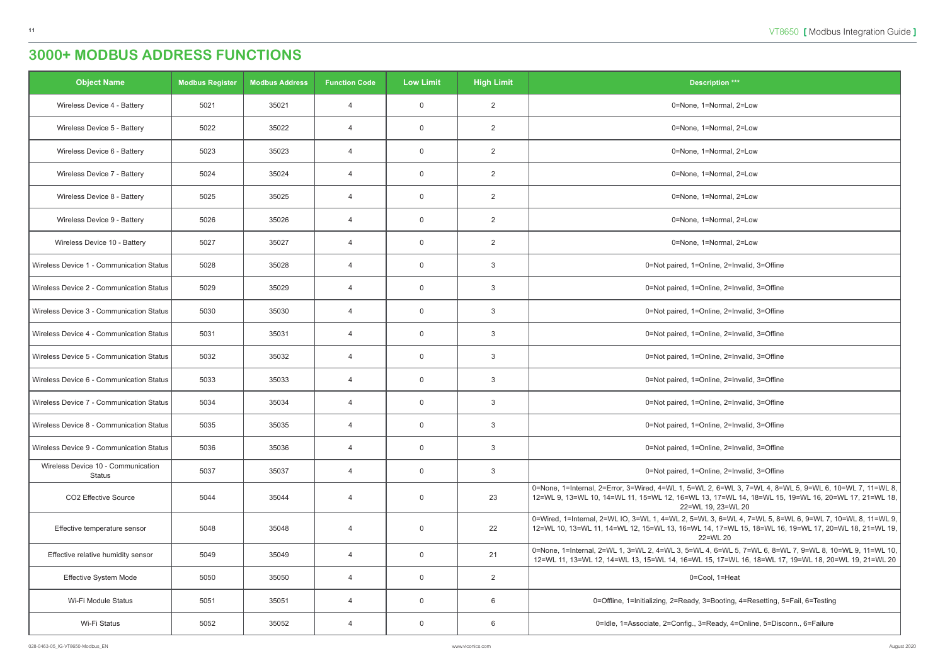| <b>Object Name</b>                                  | <b>Modbus Register</b> | <b>Modbus Address</b> | <b>Function Code</b> | <b>Low Limit</b> | <b>High Limit</b> | <b>Description ***</b>                                                                                                                                                                                                              |
|-----------------------------------------------------|------------------------|-----------------------|----------------------|------------------|-------------------|-------------------------------------------------------------------------------------------------------------------------------------------------------------------------------------------------------------------------------------|
| Wireless Device 4 - Battery                         | 5021                   | 35021                 | $\overline{4}$       | $\overline{0}$   | $\overline{2}$    | 0=None, 1=Normal, 2=Low                                                                                                                                                                                                             |
| Wireless Device 5 - Battery                         | 5022                   | 35022                 | $\overline{4}$       | $\overline{0}$   | $\overline{2}$    | 0=None, 1=Normal, 2=Low                                                                                                                                                                                                             |
| Wireless Device 6 - Battery                         | 5023                   | 35023                 | $\overline{4}$       | $\overline{0}$   | 2                 | 0=None, 1=Normal, 2=Low                                                                                                                                                                                                             |
| Wireless Device 7 - Battery                         | 5024                   | 35024                 | $\overline{4}$       | $\mathbf 0$      | $\overline{2}$    | 0=None, 1=Normal, 2=Low                                                                                                                                                                                                             |
| Wireless Device 8 - Battery                         | 5025                   | 35025                 | $\overline{4}$       | $\overline{0}$   | $\overline{2}$    | 0=None, 1=Normal, 2=Low                                                                                                                                                                                                             |
| Wireless Device 9 - Battery                         | 5026                   | 35026                 | $\overline{4}$       | $\overline{0}$   | $\overline{2}$    | 0=None, 1=Normal, 2=Low                                                                                                                                                                                                             |
| Wireless Device 10 - Battery                        | 5027                   | 35027                 | $\overline{4}$       | $\overline{0}$   | $\overline{2}$    | 0=None, 1=Normal, 2=Low                                                                                                                                                                                                             |
| Wireless Device 1 - Communication Status            | 5028                   | 35028                 | $\overline{4}$       | $\overline{0}$   | 3                 | 0=Not paired, 1=Online, 2=Invalid, 3=Offine                                                                                                                                                                                         |
| Wireless Device 2 - Communication Status            | 5029                   | 35029                 | $\overline{4}$       | $\overline{0}$   | 3                 | 0=Not paired, 1=Online, 2=Invalid, 3=Offine                                                                                                                                                                                         |
| Wireless Device 3 - Communication Status            | 5030                   | 35030                 | $\overline{4}$       | $\overline{0}$   | 3                 | 0=Not paired, 1=Online, 2=Invalid, 3=Offine                                                                                                                                                                                         |
| Wireless Device 4 - Communication Status            | 5031                   | 35031                 | $\overline{4}$       | $\overline{0}$   | 3                 | 0=Not paired, 1=Online, 2=Invalid, 3=Offine                                                                                                                                                                                         |
| Wireless Device 5 - Communication Status            | 5032                   | 35032                 | $\overline{4}$       | $\overline{0}$   | 3                 | 0=Not paired, 1=Online, 2=Invalid, 3=Offine                                                                                                                                                                                         |
| Wireless Device 6 - Communication Status            | 5033                   | 35033                 | $\overline{4}$       | $\overline{0}$   | 3                 | 0=Not paired, 1=Online, 2=Invalid, 3=Offine                                                                                                                                                                                         |
| Wireless Device 7 - Communication Status            | 5034                   | 35034                 | $\overline{4}$       | $\overline{0}$   | 3                 | 0=Not paired, 1=Online, 2=Invalid, 3=Offine                                                                                                                                                                                         |
| Wireless Device 8 - Communication Status            | 5035                   | 35035                 | 4                    | $\mathbf 0$      | 3                 | 0=Not paired, 1=Online, 2=Invalid, 3=Offine                                                                                                                                                                                         |
| Wireless Device 9 - Communication Status            | 5036                   | 35036                 | $\overline{4}$       | $\overline{0}$   | 3                 | 0=Not paired, 1=Online, 2=Invalid, 3=Offine                                                                                                                                                                                         |
| Wireless Device 10 - Communication<br><b>Status</b> | 5037                   | 35037                 | $\overline{4}$       | $\mathsf 0$      | $\mathbf{3}$      | 0=Not paired, 1=Online, 2=Invalid, 3=Offine                                                                                                                                                                                         |
| CO2 Effective Source                                | 5044                   | 35044                 | $\overline{4}$       | $\overline{0}$   | 23                | 0=None, 1=Internal, 2=Error, 3=Wired, 4=WL 1, 5=WL 2, 6=WL 3, 7=WL 4, 8=WL 5, 9=WL 6, 10=WL 7, 11=WL 8,<br>12=WL 9, 13=WL 10, 14=WL 11, 15=WL 12, 16=WL 13, 17=WL 14, 18=WL 15, 19=WL 16, 20=WL 17, 21=WL 18,<br>22=WL 19, 23=WL 20 |
| Effective temperature sensor                        | 5048                   | 35048                 | $\overline{4}$       | $\overline{0}$   | 22                | 0=Wired, 1=Internal, 2=WL IO, 3=WL 1, 4=WL 2, 5=WL 3, 6=WL 4, 7=WL 5, 8=WL 6, 9=WL 7, 10=WL 8, 11=WL 9,  <br>12=WL 10, 13=WL 11, 14=WL 12, 15=WL 13, 16=WL 14, 17=WL 15, 18=WL 16, 19=WL 17, 20=WL 18, 21=WL 19,<br>22=WL 20        |
| Effective relative humidity sensor                  | 5049                   | 35049                 | $\overline{4}$       | $\overline{0}$   | 21                | 0=None, 1=Internal, 2=WL 1, 3=WL 2, 4=WL 3, 5=WL 4, 6=WL 5, 7=WL 6, 8=WL 7, 9=WL 8, 10=WL 9, 11=WL 10,<br>12=WL 11, 13=WL 12, 14=WL 13, 15=WL 14, 16=WL 15, 17=WL 16, 18=WL 17, 19=WL 18, 20=WL 19, 21=WL 20                        |
| Effective System Mode                               | 5050                   | 35050                 | $\overline{4}$       | $\overline{0}$   | $\overline{2}$    | 0=Cool, 1=Heat                                                                                                                                                                                                                      |
| Wi-Fi Module Status                                 | 5051                   | 35051                 | $\overline{4}$       | $\overline{0}$   | 6                 | 0=Offline, 1=Initializing, 2=Ready, 3=Booting, 4=Resetting, 5=Fail, 6=Testing                                                                                                                                                       |
| Wi-Fi Status                                        | 5052                   | 35052                 | $\overline{4}$       | $\overline{0}$   | 6                 | 0=Idle, 1=Associate, 2=Config., 3=Ready, 4=Online, 5=Disconn., 6=Failure                                                                                                                                                            |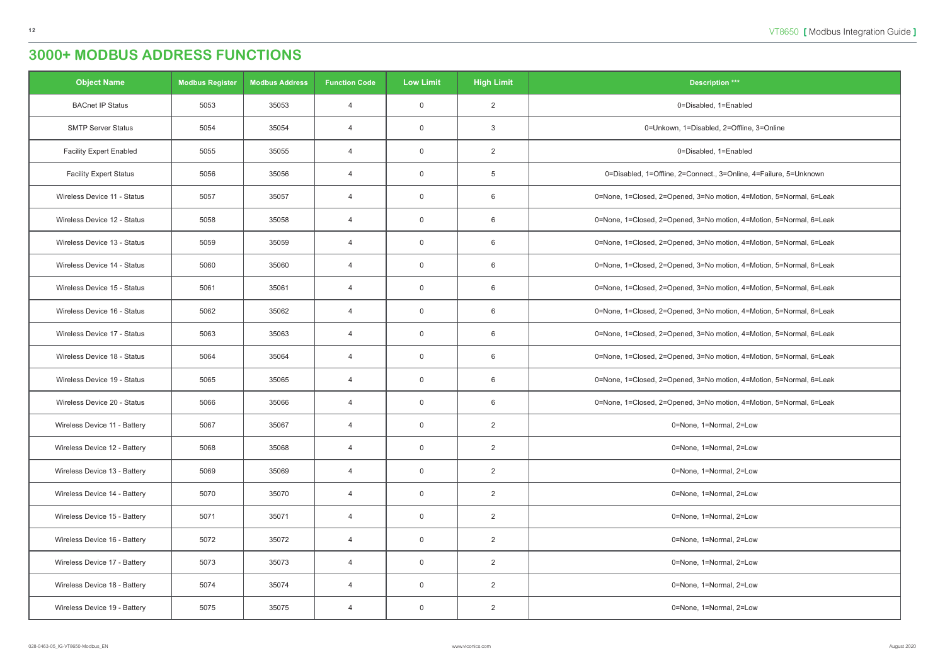| <b>Object Name</b>             | <b>Modbus Register</b> | <b>Modbus Address</b> | <b>Function Code</b> | <b>Low Limit</b> | <b>High Limit</b> | <b>Description ***</b>                                              |
|--------------------------------|------------------------|-----------------------|----------------------|------------------|-------------------|---------------------------------------------------------------------|
| <b>BACnet IP Status</b>        | 5053                   | 35053                 | $\overline{4}$       | $\overline{0}$   | $\overline{2}$    | 0=Disabled, 1=Enabled                                               |
| <b>SMTP Server Status</b>      | 5054                   | 35054                 | $\overline{4}$       | $\overline{0}$   | 3                 | 0=Unkown, 1=Disabled, 2=Offline, 3=Online                           |
| <b>Facility Expert Enabled</b> | 5055                   | 35055                 | $\overline{4}$       | $\overline{0}$   | $\overline{2}$    | 0=Disabled, 1=Enabled                                               |
| <b>Facility Expert Status</b>  | 5056                   | 35056                 | $\overline{4}$       | $\overline{0}$   | $5\phantom{.0}$   | 0=Disabled, 1=Offline, 2=Connect., 3=Online, 4=Failure, 5=Unknown   |
| Wireless Device 11 - Status    | 5057                   | 35057                 | $\overline{4}$       | $\overline{0}$   | 6                 | 0=None, 1=Closed, 2=Opened, 3=No motion, 4=Motion, 5=Normal, 6=Leak |
| Wireless Device 12 - Status    | 5058                   | 35058                 | $\overline{4}$       | $\overline{0}$   | 6                 | 0=None, 1=Closed, 2=Opened, 3=No motion, 4=Motion, 5=Normal, 6=Leak |
| Wireless Device 13 - Status    | 5059                   | 35059                 | $\overline{4}$       | $\overline{0}$   | 6                 | 0=None, 1=Closed, 2=Opened, 3=No motion, 4=Motion, 5=Normal, 6=Leak |
| Wireless Device 14 - Status    | 5060                   | 35060                 | $\overline{4}$       | $\overline{0}$   | 6                 | 0=None, 1=Closed, 2=Opened, 3=No motion, 4=Motion, 5=Normal, 6=Leak |
| Wireless Device 15 - Status    | 5061                   | 35061                 | $\overline{4}$       | $\overline{0}$   | 6                 | 0=None, 1=Closed, 2=Opened, 3=No motion, 4=Motion, 5=Normal, 6=Leak |
| Wireless Device 16 - Status    | 5062                   | 35062                 | $\overline{4}$       | $\overline{0}$   | 6                 | 0=None, 1=Closed, 2=Opened, 3=No motion, 4=Motion, 5=Normal, 6=Leak |
| Wireless Device 17 - Status    | 5063                   | 35063                 | $\overline{4}$       | $\overline{0}$   | 6                 | 0=None, 1=Closed, 2=Opened, 3=No motion, 4=Motion, 5=Normal, 6=Leak |
| Wireless Device 18 - Status    | 5064                   | 35064                 | $\overline{4}$       | $\overline{0}$   | 6                 | 0=None, 1=Closed, 2=Opened, 3=No motion, 4=Motion, 5=Normal, 6=Leak |
| Wireless Device 19 - Status    | 5065                   | 35065                 | $\overline{4}$       | $\overline{0}$   | 6                 | 0=None, 1=Closed, 2=Opened, 3=No motion, 4=Motion, 5=Normal, 6=Leak |
| Wireless Device 20 - Status    | 5066                   | 35066                 | $\overline{4}$       | $\overline{0}$   | 6                 | 0=None, 1=Closed, 2=Opened, 3=No motion, 4=Motion, 5=Normal, 6=Leak |
| Wireless Device 11 - Battery   | 5067                   | 35067                 | 4                    | $\mathbf 0$      | $\overline{2}$    | 0=None, 1=Normal, 2=Low                                             |
| Wireless Device 12 - Battery   | 5068                   | 35068                 | $\overline{4}$       | $\overline{0}$   | $\overline{2}$    | 0=None, 1=Normal, 2=Low                                             |
| Wireless Device 13 - Battery   | 5069                   | 35069                 | $\overline{4}$       | $\overline{0}$   | $\overline{2}$    | 0=None, 1=Normal, 2=Low                                             |
| Wireless Device 14 - Battery   | 5070                   | 35070                 | $\overline{4}$       | $\mathsf 0$      | $\overline{2}$    | 0=None, 1=Normal, 2=Low                                             |
| Wireless Device 15 - Battery   | 5071                   | 35071                 | $\overline{4}$       | $\overline{0}$   | $\overline{2}$    | 0=None, 1=Normal, 2=Low                                             |
| Wireless Device 16 - Battery   | 5072                   | 35072                 | $\overline{4}$       | $\overline{0}$   | $\overline{2}$    | 0=None, 1=Normal, 2=Low                                             |
| Wireless Device 17 - Battery   | 5073                   | 35073                 | $\overline{4}$       | $\overline{0}$   | $\overline{2}$    | 0=None, 1=Normal, 2=Low                                             |
| Wireless Device 18 - Battery   | 5074                   | 35074                 | $\overline{4}$       | $\overline{0}$   | $\overline{2}$    | 0=None, 1=Normal, 2=Low                                             |
| Wireless Device 19 - Battery   | 5075                   | 35075                 | $\overline{4}$       | $\overline{0}$   | $\overline{2}$    | 0=None, 1=Normal, 2=Low                                             |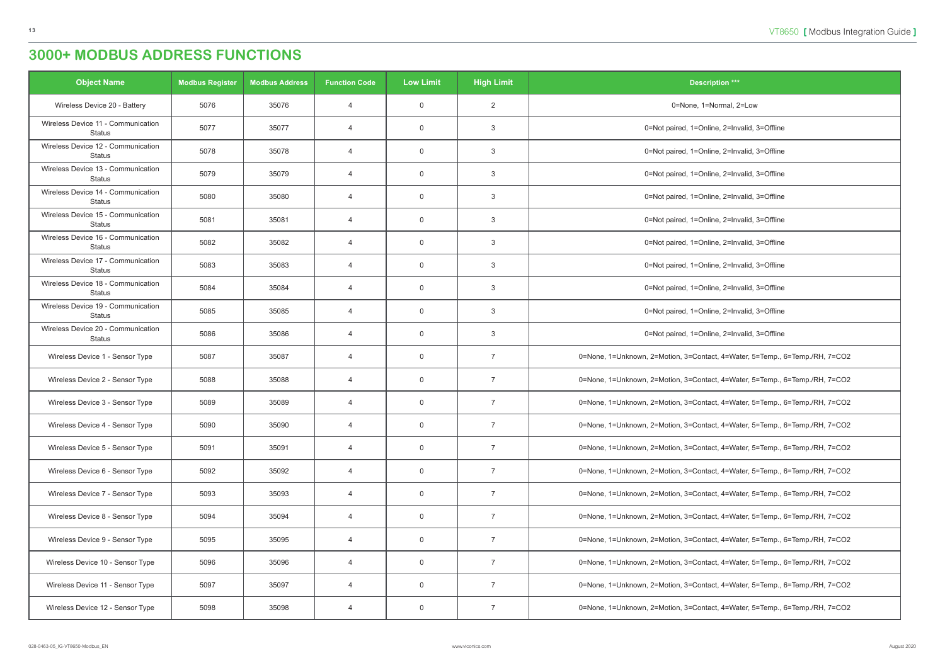| <b>Object Name</b>                                  | <b>Modbus Register</b> | <b>Modbus Address</b> | <b>Function Code</b> | <b>Low Limit</b> | <b>High Limit</b> | <b>Description ***</b>                                                      |
|-----------------------------------------------------|------------------------|-----------------------|----------------------|------------------|-------------------|-----------------------------------------------------------------------------|
| Wireless Device 20 - Battery                        | 5076                   | 35076                 | $\overline{4}$       | $\overline{0}$   | 2                 | 0=None, 1=Normal, 2=Low                                                     |
| Wireless Device 11 - Communication<br><b>Status</b> | 5077                   | 35077                 | $\overline{4}$       | $\overline{0}$   | 3                 | 0=Not paired, 1=Online, 2=Invalid, 3=Offline                                |
| Wireless Device 12 - Communication<br><b>Status</b> | 5078                   | 35078                 | $\overline{4}$       | $\overline{0}$   | 3                 | 0=Not paired, 1=Online, 2=Invalid, 3=Offline                                |
| Wireless Device 13 - Communication<br>Status        | 5079                   | 35079                 | $\overline{4}$       | $\overline{0}$   | 3                 | 0=Not paired, 1=Online, 2=Invalid, 3=Offline                                |
| Wireless Device 14 - Communication<br><b>Status</b> | 5080                   | 35080                 | $\overline{4}$       | $\overline{0}$   | 3                 | 0=Not paired, 1=Online, 2=Invalid, 3=Offline                                |
| Wireless Device 15 - Communication<br><b>Status</b> | 5081                   | 35081                 | $\overline{4}$       | $\overline{0}$   | 3                 | 0=Not paired, 1=Online, 2=Invalid, 3=Offline                                |
| Wireless Device 16 - Communication<br><b>Status</b> | 5082                   | 35082                 | $\overline{4}$       | $\overline{0}$   | 3                 | 0=Not paired, 1=Online, 2=Invalid, 3=Offline                                |
| Wireless Device 17 - Communication<br><b>Status</b> | 5083                   | 35083                 | $\overline{4}$       | $\overline{0}$   | 3                 | 0=Not paired, 1=Online, 2=Invalid, 3=Offline                                |
| Wireless Device 18 - Communication<br><b>Status</b> | 5084                   | 35084                 | $\overline{4}$       | $\overline{0}$   | 3                 | 0=Not paired, 1=Online, 2=Invalid, 3=Offline                                |
| Wireless Device 19 - Communication<br><b>Status</b> | 5085                   | 35085                 | $\overline{4}$       | $\overline{0}$   | 3                 | 0=Not paired, 1=Online, 2=Invalid, 3=Offline                                |
| Wireless Device 20 - Communication<br><b>Status</b> | 5086                   | 35086                 | $\overline{4}$       | $\overline{0}$   | 3                 | 0=Not paired, 1=Online, 2=Invalid, 3=Offline                                |
| Wireless Device 1 - Sensor Type                     | 5087                   | 35087                 | $\overline{4}$       | $\overline{0}$   | $\overline{7}$    | 0=None, 1=Unknown, 2=Motion, 3=Contact, 4=Water, 5=Temp., 6=Temp./RH, 7=CO2 |
| Wireless Device 2 - Sensor Type                     | 5088                   | 35088                 | $\overline{4}$       | $\overline{0}$   | $\overline{7}$    | 0=None, 1=Unknown, 2=Motion, 3=Contact, 4=Water, 5=Temp., 6=Temp./RH, 7=CO2 |
| Wireless Device 3 - Sensor Type                     | 5089                   | 35089                 | $\overline{4}$       | $\overline{0}$   | $\overline{7}$    | 0=None, 1=Unknown, 2=Motion, 3=Contact, 4=Water, 5=Temp., 6=Temp./RH, 7=CO2 |
| Wireless Device 4 - Sensor Type                     | 5090                   | 35090                 | 4                    | $\mathbf 0$      |                   | 0=None, 1=Unknown, 2=Motion, 3=Contact, 4=Water, 5=Temp., 6=Temp./RH, 7=CO2 |
| Wireless Device 5 - Sensor Type                     | 5091                   | 35091                 | $\overline{4}$       | $\overline{0}$   | $\overline{7}$    | 0=None, 1=Unknown, 2=Motion, 3=Contact, 4=Water, 5=Temp., 6=Temp./RH, 7=CO2 |
| Wireless Device 6 - Sensor Type                     | 5092                   | 35092                 | $\overline{4}$       | $\overline{0}$   | $\overline{7}$    | 0=None, 1=Unknown, 2=Motion, 3=Contact, 4=Water, 5=Temp., 6=Temp./RH, 7=CO2 |
| Wireless Device 7 - Sensor Type                     | 5093                   | 35093                 | $\overline{4}$       | $\overline{0}$   | $\overline{7}$    | 0=None, 1=Unknown, 2=Motion, 3=Contact, 4=Water, 5=Temp., 6=Temp./RH, 7=CO2 |
| Wireless Device 8 - Sensor Type                     | 5094                   | 35094                 | $\overline{4}$       | $\overline{0}$   | $\overline{7}$    | 0=None, 1=Unknown, 2=Motion, 3=Contact, 4=Water, 5=Temp., 6=Temp./RH, 7=CO2 |
| Wireless Device 9 - Sensor Type                     | 5095                   | 35095                 | $\overline{4}$       | $\overline{0}$   | $\overline{7}$    | 0=None, 1=Unknown, 2=Motion, 3=Contact, 4=Water, 5=Temp., 6=Temp./RH, 7=CO2 |
| Wireless Device 10 - Sensor Type                    | 5096                   | 35096                 | $\overline{4}$       | $\overline{0}$   | $\overline{7}$    | 0=None, 1=Unknown, 2=Motion, 3=Contact, 4=Water, 5=Temp., 6=Temp./RH, 7=CO2 |
| Wireless Device 11 - Sensor Type                    | 5097                   | 35097                 | $\overline{4}$       | $\overline{0}$   | $\overline{7}$    | 0=None, 1=Unknown, 2=Motion, 3=Contact, 4=Water, 5=Temp., 6=Temp./RH, 7=CO2 |
| Wireless Device 12 - Sensor Type                    | 5098                   | 35098                 | 4                    | $\overline{0}$   | $\overline{7}$    | 0=None, 1=Unknown, 2=Motion, 3=Contact, 4=Water, 5=Temp., 6=Temp./RH, 7=CO2 |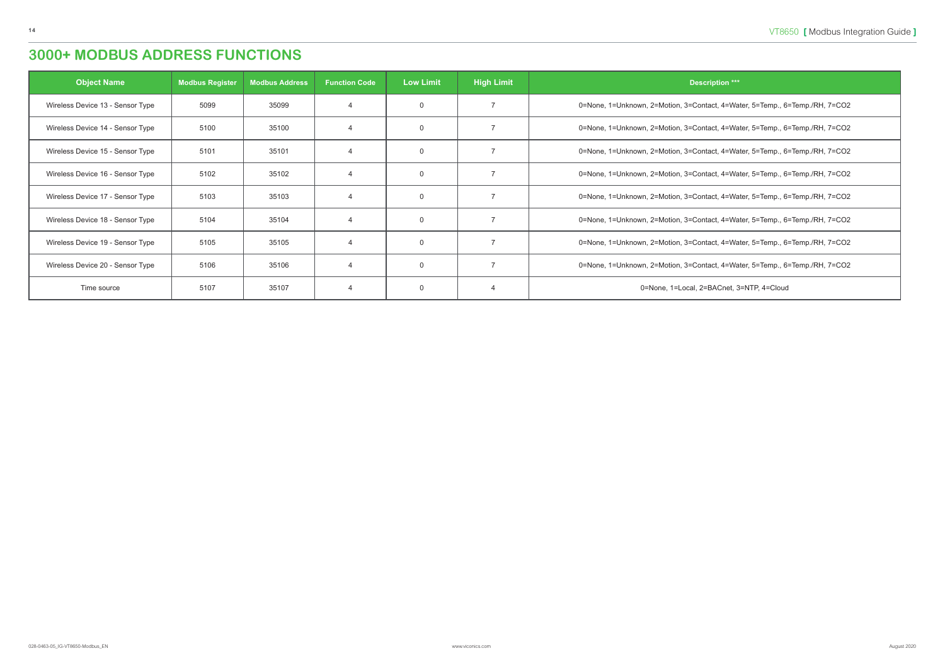| <b>Object Name</b>               | <b>Modbus Register</b> | <b>Modbus Address</b> | <b>Function Code</b> | <b>Low Limit</b> | <b>High Limit</b> | <b>Description ***</b>                                                      |
|----------------------------------|------------------------|-----------------------|----------------------|------------------|-------------------|-----------------------------------------------------------------------------|
| Wireless Device 13 - Sensor Type | 5099                   | 35099                 |                      | $\mathbf 0$      |                   | 0=None, 1=Unknown, 2=Motion, 3=Contact, 4=Water, 5=Temp., 6=Temp./RH, 7=CO2 |
| Wireless Device 14 - Sensor Type | 5100                   | 35100                 |                      | $\mathbf 0$      |                   | 0=None, 1=Unknown, 2=Motion, 3=Contact, 4=Water, 5=Temp., 6=Temp./RH, 7=CO2 |
| Wireless Device 15 - Sensor Type | 5101                   | 35101                 |                      | $\mathbf 0$      |                   | 0=None, 1=Unknown, 2=Motion, 3=Contact, 4=Water, 5=Temp., 6=Temp./RH, 7=CO2 |
| Wireless Device 16 - Sensor Type | 5102                   | 35102                 |                      | $\mathbf 0$      |                   | 0=None, 1=Unknown, 2=Motion, 3=Contact, 4=Water, 5=Temp., 6=Temp./RH, 7=CO2 |
| Wireless Device 17 - Sensor Type | 5103                   | 35103                 | $\overline{A}$       | $\mathbf 0$      |                   | 0=None, 1=Unknown, 2=Motion, 3=Contact, 4=Water, 5=Temp., 6=Temp./RH, 7=CO2 |
| Wireless Device 18 - Sensor Type | 5104                   | 35104                 |                      | $\mathbf 0$      |                   | 0=None, 1=Unknown, 2=Motion, 3=Contact, 4=Water, 5=Temp., 6=Temp./RH, 7=CO2 |
| Wireless Device 19 - Sensor Type | 5105                   | 35105                 |                      | $\mathbf 0$      |                   | 0=None, 1=Unknown, 2=Motion, 3=Contact, 4=Water, 5=Temp., 6=Temp./RH, 7=CO2 |
| Wireless Device 20 - Sensor Type | 5106                   | 35106                 |                      | $\mathbf 0$      |                   | 0=None, 1=Unknown, 2=Motion, 3=Contact, 4=Water, 5=Temp., 6=Temp./RH, 7=CO2 |
| Time source                      | 5107                   | 35107                 | $\overline{A}$       | $\mathbf 0$      |                   | 0=None, 1=Local, 2=BACnet, 3=NTP, 4=Cloud                                   |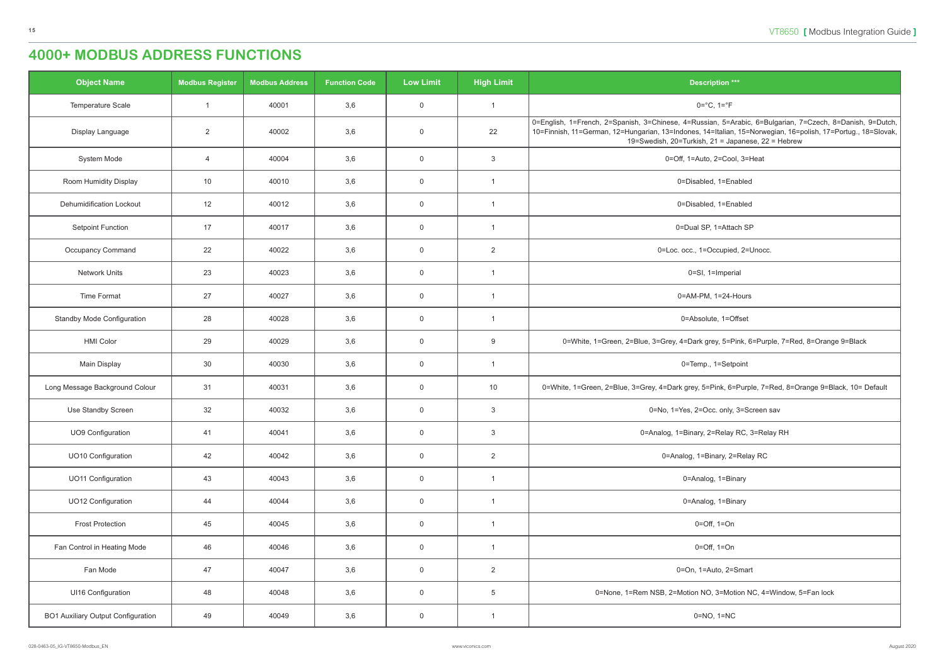<span id="page-14-0"></span>

| <b>Object Name</b>                        | <b>Modbus Register</b> | <b>Modbus Address</b> | <b>Function Code</b> | <b>Low Limit</b> | <b>High Limit</b> | <b>Description ***</b>                                                                                                                                                                                                                                                         |
|-------------------------------------------|------------------------|-----------------------|----------------------|------------------|-------------------|--------------------------------------------------------------------------------------------------------------------------------------------------------------------------------------------------------------------------------------------------------------------------------|
| Temperature Scale                         | $\overline{1}$         | 40001                 | 3,6                  | $\mathbf 0$      | $\overline{1}$    | $0 = ^{\circ}C, 1 = ^{\circ}F$                                                                                                                                                                                                                                                 |
| Display Language                          | 2                      | 40002                 | 3,6                  | $\mathbf 0$      | 22                | 0=English, 1=French, 2=Spanish, 3=Chinese, 4=Russian, 5=Arabic, 6=Bulgarian, 7=Czech, 8=Danish, 9=Dutch,<br>10=Finnish, 11=German, 12=Hungarian, 13=Indones, 14=Italian, 15=Norwegian, 16=polish, 17=Portug., 18=Slovak,<br>19=Swedish, 20=Turkish, 21 = Japanese, 22 = Hebrew |
| System Mode                               | $\overline{4}$         | 40004                 | 3,6                  | $\mathbf 0$      | 3                 | 0=Off, 1=Auto, 2=Cool, 3=Heat                                                                                                                                                                                                                                                  |
| Room Humidity Display                     | 10                     | 40010                 | 3,6                  | $\mathbf 0$      | -1                | 0=Disabled, 1=Enabled                                                                                                                                                                                                                                                          |
| <b>Dehumidification Lockout</b>           | 12                     | 40012                 | 3,6                  | $\mathbf 0$      | $\overline{1}$    | 0=Disabled, 1=Enabled                                                                                                                                                                                                                                                          |
| <b>Setpoint Function</b>                  | 17                     | 40017                 | 3,6                  | $\mathbf 0$      | $\overline{1}$    | 0=Dual SP, 1=Attach SP                                                                                                                                                                                                                                                         |
| Occupancy Command                         | 22                     | 40022                 | 3,6                  | $\overline{0}$   | $\overline{2}$    | 0=Loc. occ., 1=Occupied, 2=Unocc.                                                                                                                                                                                                                                              |
| <b>Network Units</b>                      | 23                     | 40023                 | 3,6                  | $\mathbf 0$      | $\overline{1}$    | 0=SI, 1=Imperial                                                                                                                                                                                                                                                               |
| Time Format                               | 27                     | 40027                 | 3,6                  | $\mathbf 0$      | -1                | 0=AM-PM, 1=24-Hours                                                                                                                                                                                                                                                            |
| <b>Standby Mode Configuration</b>         | 28                     | 40028                 | 3,6                  | $\mathbf 0$      | $\overline{1}$    | 0=Absolute, 1=Offset                                                                                                                                                                                                                                                           |
| <b>HMI Color</b>                          | 29                     | 40029                 | 3,6                  | $\overline{0}$   | 9                 | 0=White, 1=Green, 2=Blue, 3=Grey, 4=Dark grey, 5=Pink, 6=Purple, 7=Red, 8=Orange 9=Black                                                                                                                                                                                       |
| Main Display                              | 30                     | 40030                 | 3,6                  | $\overline{0}$   | $\overline{1}$    | 0=Temp., 1=Setpoint                                                                                                                                                                                                                                                            |
| Long Message Background Colour            | 31                     | 40031                 | 3,6                  | $\overline{0}$   | 10                | 0=White, 1=Green, 2=Blue, 3=Grey, 4=Dark grey, 5=Pink, 6=Purple, 7=Red, 8=Orange 9=Black, 10= Default                                                                                                                                                                          |
| Use Standby Screen                        | 32                     | 40032                 | 3,6                  | $\overline{0}$   | $\mathbf{3}$      | 0=No, 1=Yes, 2=Occ. only, 3=Screen sav                                                                                                                                                                                                                                         |
| <b>UO9 Configuration</b>                  | 41                     | 40041                 | 3,6                  | $\mathbf 0$      | $\mathbf{3}$      | 0=Analog, 1=Binary, 2=Relay RC, 3=Relay RH                                                                                                                                                                                                                                     |
| UO10 Configuration                        | 42                     | 40042                 | 3,6                  | $\overline{0}$   | $\overline{2}$    | 0=Analog, 1=Binary, 2=Relay RC                                                                                                                                                                                                                                                 |
| <b>UO11 Configuration</b>                 | 43                     | 40043                 | 3,6                  | $\mathbf 0$      | $\overline{1}$    | 0=Analog, 1=Binary                                                                                                                                                                                                                                                             |
| UO12 Configuration                        | 44                     | 40044                 | 3,6                  | $\overline{0}$   | $\overline{1}$    | 0=Analog, 1=Binary                                                                                                                                                                                                                                                             |
| <b>Frost Protection</b>                   | 45                     | 40045                 | 3,6                  | $\mathbf 0$      | $\overline{1}$    | $0=Off, 1=On$                                                                                                                                                                                                                                                                  |
| Fan Control in Heating Mode               | 46                     | 40046                 | 3,6                  | $\overline{0}$   | $\overline{1}$    | $0=Off$ , $1=On$                                                                                                                                                                                                                                                               |
| Fan Mode                                  | 47                     | 40047                 | 3,6                  | $\overline{0}$   | $\overline{2}$    | 0=On, 1=Auto, 2=Smart                                                                                                                                                                                                                                                          |
| UI16 Configuration                        | 48                     | 40048                 | 3,6                  | $\overline{0}$   | $\overline{5}$    | 0=None, 1=Rem NSB, 2=Motion NO, 3=Motion NC, 4=Window, 5=Fan lock                                                                                                                                                                                                              |
| <b>BO1 Auxiliary Output Configuration</b> | 49                     | 40049                 | 3,6                  | $\overline{0}$   | $\overline{1}$    | $0=NO$ , $1=NC$                                                                                                                                                                                                                                                                |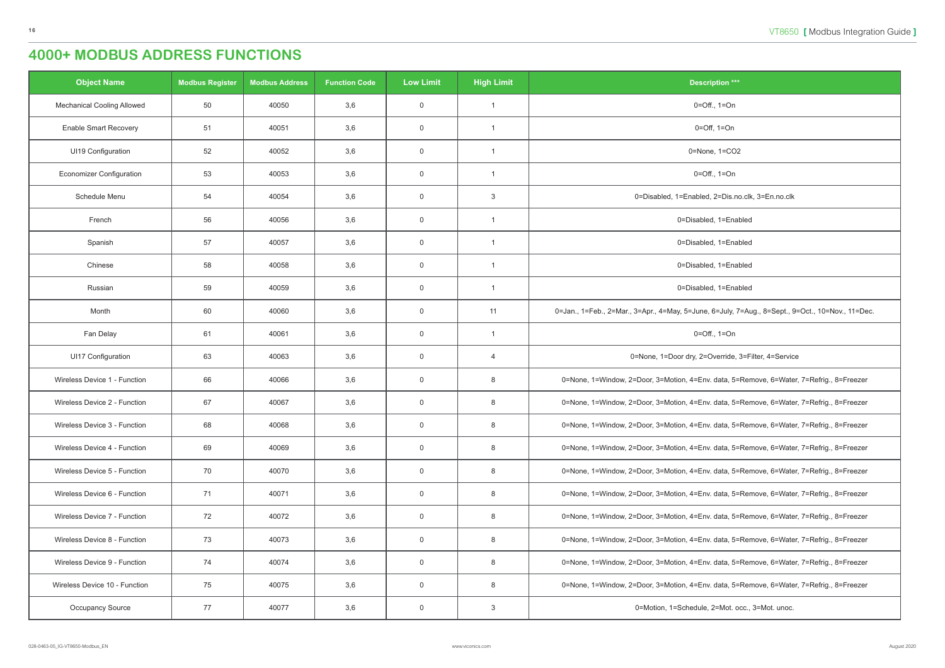| <b>Object Name</b>                | <b>Modbus Register</b> | <b>Modbus Address</b> | <b>Function Code</b> | <b>Low Limit</b> | <b>High Limit</b> | <b>Description ***</b>                                                                           |
|-----------------------------------|------------------------|-----------------------|----------------------|------------------|-------------------|--------------------------------------------------------------------------------------------------|
| <b>Mechanical Cooling Allowed</b> | 50                     | 40050                 | 3,6                  | $\overline{0}$   | $\overline{1}$    | $0 = \text{Off.}, 1 = \text{On}$                                                                 |
| <b>Enable Smart Recovery</b>      | 51                     | 40051                 | 3,6                  | $\boldsymbol{0}$ | $\overline{1}$    | $0=Off, 1=On$                                                                                    |
| UI19 Configuration                | 52                     | 40052                 | 3,6                  | $\overline{0}$   | $\overline{1}$    | 0=None, 1=CO2                                                                                    |
| <b>Economizer Configuration</b>   | 53                     | 40053                 | 3,6                  | $\overline{0}$   | $\overline{1}$    | $0 = \text{Off.}, 1 = \text{On}$                                                                 |
| Schedule Menu                     | 54                     | 40054                 | 3,6                  | $\overline{0}$   | $\mathbf{3}$      | 0=Disabled, 1=Enabled, 2=Dis.no.clk, 3=En.no.clk                                                 |
| French                            | 56                     | 40056                 | 3,6                  | $\overline{0}$   | $\overline{1}$    | 0=Disabled, 1=Enabled                                                                            |
| Spanish                           | 57                     | 40057                 | 3,6                  | $\boldsymbol{0}$ | $\overline{1}$    | 0=Disabled, 1=Enabled                                                                            |
| Chinese                           | 58                     | 40058                 | 3,6                  | $\overline{0}$   | $\overline{1}$    | 0=Disabled, 1=Enabled                                                                            |
| Russian                           | 59                     | 40059                 | 3,6                  | $\overline{0}$   | $\overline{1}$    | 0=Disabled, 1=Enabled                                                                            |
| Month                             | 60                     | 40060                 | 3,6                  | $\overline{0}$   | 11                | 0=Jan., 1=Feb., 2=Mar., 3=Apr., 4=May, 5=June, 6=July, 7=Aug., 8=Sept., 9=Oct., 10=Nov., 11=Dec. |
| Fan Delay                         | 61                     | 40061                 | 3,6                  | $\overline{0}$   | $\overline{1}$    | $0 = \text{Off.}, 1 = \text{On}$                                                                 |
| <b>UI17 Configuration</b>         | 63                     | 40063                 | 3,6                  | $\overline{0}$   | $\overline{4}$    | 0=None, 1=Door dry, 2=Override, 3=Filter, 4=Service                                              |
| Wireless Device 1 - Function      | 66                     | 40066                 | 3,6                  | $\overline{0}$   | 8                 | 0=None, 1=Window, 2=Door, 3=Motion, 4=Env. data, 5=Remove, 6=Water, 7=Refrig., 8=Freezer         |
| Wireless Device 2 - Function      | 67                     | 40067                 | 3,6                  | $\overline{0}$   | 8                 | 0=None, 1=Window, 2=Door, 3=Motion, 4=Env. data, 5=Remove, 6=Water, 7=Refrig., 8=Freezer         |
| Wireless Device 3 - Function      | 68                     | 40068                 | 3,6                  | $\overline{0}$   | 8                 | 0=None, 1=Window, 2=Door, 3=Motion, 4=Env. data, 5=Remove, 6=Water, 7=Refrig., 8=Freezer         |
| Wireless Device 4 - Function      | 69                     | 40069                 | 3,6                  | $\overline{0}$   | 8                 | 0=None, 1=Window, 2=Door, 3=Motion, 4=Env. data, 5=Remove, 6=Water, 7=Refrig., 8=Freezer         |
| Wireless Device 5 - Function      | 70                     | 40070                 | 3,6                  | $\overline{0}$   | 8                 | 0=None, 1=Window, 2=Door, 3=Motion, 4=Env. data, 5=Remove, 6=Water, 7=Refrig., 8=Freezer         |
| Wireless Device 6 - Function      | 71                     | 40071                 | 3,6                  | $\overline{0}$   | 8                 | 0=None, 1=Window, 2=Door, 3=Motion, 4=Env. data, 5=Remove, 6=Water, 7=Refrig., 8=Freezer         |
| Wireless Device 7 - Function      | 72                     | 40072                 | 3,6                  | $\overline{0}$   | 8                 | 0=None, 1=Window, 2=Door, 3=Motion, 4=Env. data, 5=Remove, 6=Water, 7=Refrig., 8=Freezer         |
| Wireless Device 8 - Function      | 73                     | 40073                 | 3,6                  | $\overline{0}$   | 8                 | 0=None, 1=Window, 2=Door, 3=Motion, 4=Env. data, 5=Remove, 6=Water, 7=Refrig., 8=Freezer         |
| Wireless Device 9 - Function      | 74                     | 40074                 | 3,6                  | $\overline{0}$   | 8                 | 0=None, 1=Window, 2=Door, 3=Motion, 4=Env. data, 5=Remove, 6=Water, 7=Refrig., 8=Freezer         |
| Wireless Device 10 - Function     | 75                     | 40075                 | 3,6                  | $\overline{0}$   | 8                 | 0=None, 1=Window, 2=Door, 3=Motion, 4=Env. data, 5=Remove, 6=Water, 7=Refrig., 8=Freezer         |
| Occupancy Source                  | 77                     | 40077                 | 3,6                  | $\overline{0}$   | $\mathbf{3}$      | 0=Motion, 1=Schedule, 2=Mot. occ., 3=Mot. unoc.                                                  |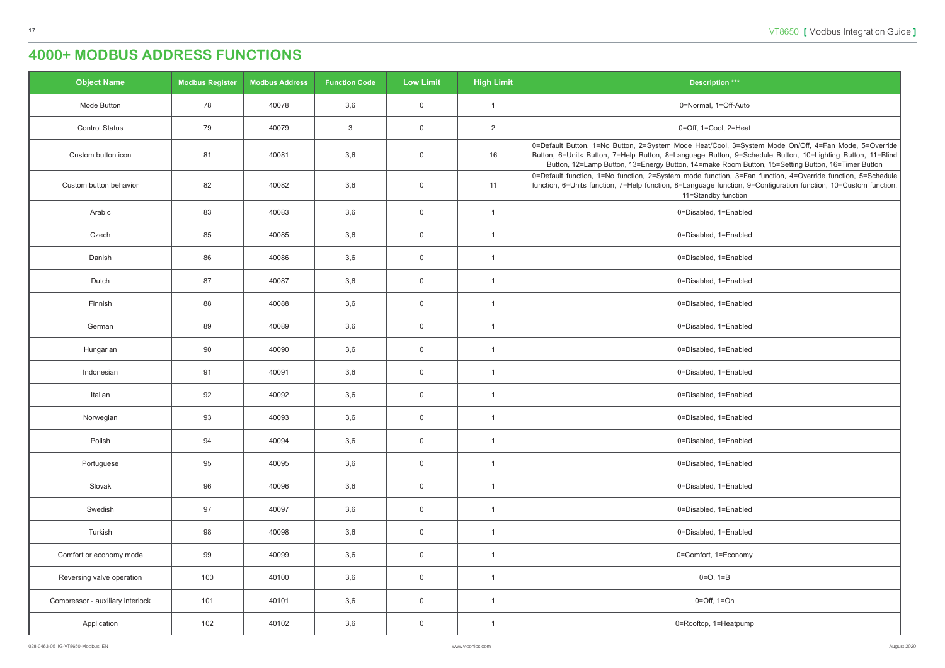| <b>Description ***</b>                                                                                                                                                                                                                                                                                                 |
|------------------------------------------------------------------------------------------------------------------------------------------------------------------------------------------------------------------------------------------------------------------------------------------------------------------------|
| 0=Normal, 1=Off-Auto                                                                                                                                                                                                                                                                                                   |
| 0=Off, 1=Cool, 2=Heat                                                                                                                                                                                                                                                                                                  |
| 0=Default Button, 1=No Button, 2=System Mode Heat/Cool, 3=System Mode On/Off, 4=Fan Mode, 5=Override<br>Button, 6=Units Button, 7=Help Button, 8=Language Button, 9=Schedule Button, 10=Lighting Button, 11=Blind<br>Button, 12=Lamp Button, 13=Energy Button, 14=make Room Button, 15=Setting Button, 16=Timer Button |
| 0=Default function, 1=No function, 2=System mode function, 3=Fan function, 4=Override function, 5=Schedule<br>function, 6=Units function, 7=Help function, 8=Language function, 9=Configuration function, 10=Custom function,<br>11=Standby function                                                                   |
| 0=Disabled, 1=Enabled                                                                                                                                                                                                                                                                                                  |
| 0=Disabled, 1=Enabled                                                                                                                                                                                                                                                                                                  |
| 0=Disabled, 1=Enabled                                                                                                                                                                                                                                                                                                  |
| 0=Disabled, 1=Enabled                                                                                                                                                                                                                                                                                                  |
| 0=Disabled, 1=Enabled                                                                                                                                                                                                                                                                                                  |
| 0=Disabled, 1=Enabled                                                                                                                                                                                                                                                                                                  |
| 0=Disabled, 1=Enabled                                                                                                                                                                                                                                                                                                  |
| 0=Disabled, 1=Enabled                                                                                                                                                                                                                                                                                                  |
| 0=Disabled, 1=Enabled                                                                                                                                                                                                                                                                                                  |
| 0=Disabled, 1=Enabled                                                                                                                                                                                                                                                                                                  |
| 0=Disabled, 1=Enabled                                                                                                                                                                                                                                                                                                  |
| 0=Disabled, 1=Enabled                                                                                                                                                                                                                                                                                                  |
| 0=Disabled, 1=Enabled                                                                                                                                                                                                                                                                                                  |
| 0=Disabled, 1=Enabled                                                                                                                                                                                                                                                                                                  |
| 0=Disabled, 1=Enabled                                                                                                                                                                                                                                                                                                  |
| 0=Comfort, 1=Economy                                                                                                                                                                                                                                                                                                   |
| $0=O, 1=B$                                                                                                                                                                                                                                                                                                             |
| $0=Off, 1=On$                                                                                                                                                                                                                                                                                                          |
| 0=Rooftop, 1=Heatpump                                                                                                                                                                                                                                                                                                  |

| <b>Object Name</b>               | <b>Modbus Register</b> | <b>Modbus Address</b> | <b>Function Code</b> | <b>Low Limit</b>    | <b>High Limit</b> | <b>Description ***</b>                                                                                                                                                                                                                                                                                       |
|----------------------------------|------------------------|-----------------------|----------------------|---------------------|-------------------|--------------------------------------------------------------------------------------------------------------------------------------------------------------------------------------------------------------------------------------------------------------------------------------------------------------|
| Mode Button                      | 78                     | 40078                 | 3,6                  | $\mathbf 0$         | $\overline{1}$    | 0=Normal, 1=Off-Auto                                                                                                                                                                                                                                                                                         |
| <b>Control Status</b>            | 79                     | 40079                 | $\mathbf{3}$         | $\overline{0}$      | $\overline{2}$    | 0=Off, 1=Cool, 2=Heat                                                                                                                                                                                                                                                                                        |
| Custom button icon               | 81                     | 40081                 | 3,6                  | $\mathbf 0$         | 16                | 0=Default Button, 1=No Button, 2=System Mode Heat/Cool, 3=System Mode On/Off, 4=Fan Mode, 5=Ove<br>Button, 6=Units Button, 7=Help Button, 8=Language Button, 9=Schedule Button, 10=Lighting Button, 11=<br>Button, 12=Lamp Button, 13=Energy Button, 14=make Room Button, 15=Setting Button, 16=Timer Buttor |
| Custom button behavior           | 82                     | 40082                 | 3,6                  | $\mathsf{O}$        | 11                | 0=Default function, 1=No function, 2=System mode function, 3=Fan function, 4=Override function, 5=Sche<br>function, 6=Units function, 7=Help function, 8=Language function, 9=Configuration function, 10=Custom fund<br>11=Standby function                                                                  |
| Arabic                           | 83                     | 40083                 | 3,6                  | $\overline{0}$      | $\overline{1}$    | 0=Disabled, 1=Enabled                                                                                                                                                                                                                                                                                        |
| Czech                            | 85                     | 40085                 | 3,6                  | $\mathbf 0$         | $\overline{1}$    | 0=Disabled, 1=Enabled                                                                                                                                                                                                                                                                                        |
| Danish                           | 86                     | 40086                 | 3,6                  | $\mathbf 0$         | $\overline{1}$    | 0=Disabled, 1=Enabled                                                                                                                                                                                                                                                                                        |
| Dutch                            | 87                     | 40087                 | 3,6                  | $\overline{0}$      | $\overline{1}$    | 0=Disabled, 1=Enabled                                                                                                                                                                                                                                                                                        |
| Finnish                          | 88                     | 40088                 | 3,6                  | $\mathbf 0$         | $\overline{1}$    | 0=Disabled, 1=Enabled                                                                                                                                                                                                                                                                                        |
| German                           | 89                     | 40089                 | 3,6                  | $\mathbf 0$         | $\overline{1}$    | 0=Disabled, 1=Enabled                                                                                                                                                                                                                                                                                        |
| Hungarian                        | 90                     | 40090                 | 3,6                  | $\overline{0}$      | $\overline{1}$    | 0=Disabled, 1=Enabled                                                                                                                                                                                                                                                                                        |
| Indonesian                       | 91                     | 40091                 | 3,6                  | $\overline{0}$      | $\overline{1}$    | 0=Disabled, 1=Enabled                                                                                                                                                                                                                                                                                        |
| Italian                          | 92                     | 40092                 | 3,6                  | $\mathsf{O}\xspace$ | $\overline{1}$    | 0=Disabled, 1=Enabled                                                                                                                                                                                                                                                                                        |
| Norwegian                        | 93                     | 40093                 | 3,6                  | $\mathbf 0$         | -1                | 0=Disabled, 1=Enabled                                                                                                                                                                                                                                                                                        |
| Polish                           | 94                     | 40094                 | 3,6                  | $\overline{0}$      | $\overline{1}$    | 0=Disabled, 1=Enabled                                                                                                                                                                                                                                                                                        |
| Portuguese                       | 95                     | 40095                 | 3,6                  | $\overline{0}$      | $\overline{1}$    | 0=Disabled, 1=Enabled                                                                                                                                                                                                                                                                                        |
| Slovak                           | 96                     | 40096                 | 3,6                  | $\overline{0}$      | $\overline{1}$    | 0=Disabled, 1=Enabled                                                                                                                                                                                                                                                                                        |
| Swedish                          | 97                     | 40097                 | 3,6                  | $\mathsf{O}\xspace$ | $\overline{1}$    | 0=Disabled, 1=Enabled                                                                                                                                                                                                                                                                                        |
| Turkish                          | 98                     | 40098                 | 3,6                  | $\mathbf 0$         | $\overline{1}$    | 0=Disabled, 1=Enabled                                                                                                                                                                                                                                                                                        |
| Comfort or economy mode          | 99                     | 40099                 | 3,6                  | $\mathsf{O}$        | $\overline{1}$    | 0=Comfort, 1=Economy                                                                                                                                                                                                                                                                                         |
| Reversing valve operation        | 100                    | 40100                 | 3,6                  | $\overline{0}$      | $\overline{1}$    | $0=O, 1=B$                                                                                                                                                                                                                                                                                                   |
| Compressor - auxiliary interlock | 101                    | 40101                 | 3,6                  | $\overline{0}$      | $\overline{1}$    | $0=Off$ , $1=On$                                                                                                                                                                                                                                                                                             |
| Application                      | 102                    | 40102                 | 3,6                  | $\overline{0}$      | $\overline{1}$    | 0=Rooftop, 1=Heatpump                                                                                                                                                                                                                                                                                        |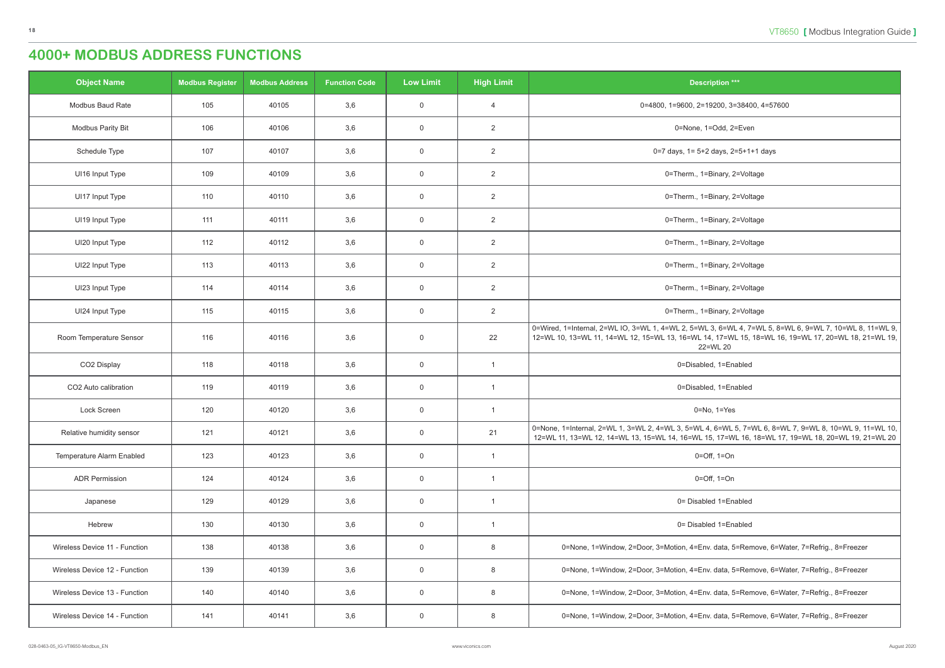| <b>Object Name</b>               | <b>Modbus Register</b> | <b>Modbus Address</b> | <b>Function Code</b> | <b>Low Limit</b> | <b>High Limit</b> | <b>Description ***</b>                                                                                                                                                                                                     |
|----------------------------------|------------------------|-----------------------|----------------------|------------------|-------------------|----------------------------------------------------------------------------------------------------------------------------------------------------------------------------------------------------------------------------|
| Modbus Baud Rate                 | 105                    | 40105                 | 3,6                  | $\overline{0}$   | $\overline{4}$    | 0=4800, 1=9600, 2=19200, 3=38400, 4=57600                                                                                                                                                                                  |
| <b>Modbus Parity Bit</b>         | 106                    | 40106                 | 3,6                  | $\mathbf 0$      | $\overline{2}$    | 0=None, 1=Odd, 2=Even                                                                                                                                                                                                      |
| Schedule Type                    | 107                    | 40107                 | 3,6                  | $\mathbf 0$      | $\overline{2}$    | 0=7 days, 1= 5+2 days, 2=5+1+1 days                                                                                                                                                                                        |
| UI16 Input Type                  | 109                    | 40109                 | 3,6                  | $\overline{0}$   | $\overline{2}$    | 0=Therm., 1=Binary, 2=Voltage                                                                                                                                                                                              |
| UI17 Input Type                  | 110                    | 40110                 | 3,6                  | $\overline{0}$   | $\overline{2}$    | 0=Therm., 1=Binary, 2=Voltage                                                                                                                                                                                              |
| UI19 Input Type                  | 111                    | 40111                 | 3,6                  | $\mathbf 0$      | $\overline{2}$    | 0=Therm., 1=Binary, 2=Voltage                                                                                                                                                                                              |
| UI20 Input Type                  | 112                    | 40112                 | 3,6                  | $\overline{0}$   | $\overline{2}$    | 0=Therm., 1=Binary, 2=Voltage                                                                                                                                                                                              |
| UI22 Input Type                  | 113                    | 40113                 | 3,6                  | $\overline{0}$   | $\overline{2}$    | 0=Therm., 1=Binary, 2=Voltage                                                                                                                                                                                              |
| UI23 Input Type                  | 114                    | 40114                 | 3,6                  | $\overline{0}$   | $\overline{2}$    | 0=Therm., 1=Binary, 2=Voltage                                                                                                                                                                                              |
| UI24 Input Type                  | 115                    | 40115                 | 3,6                  | $\overline{0}$   | $\overline{2}$    | 0=Therm., 1=Binary, 2=Voltage                                                                                                                                                                                              |
| Room Temperature Sensor          | 116                    | 40116                 | 3,6                  | $\overline{0}$   | 22                | 0=Wired, 1=Internal, 2=WL IO, 3=WL 1, 4=WL 2, 5=WL 3, 6=WL 4, 7=WL 5, 8=WL 6, 9=WL 7, 10=WL 8, 11=WL 9,<br>12=WL 10, 13=WL 11, 14=WL 12, 15=WL 13, 16=WL 14, 17=WL 15, 18=WL 16, 19=WL 17, 20=WL 18, 21=WL 19,<br>22=WL 20 |
| CO2 Display                      | 118                    | 40118                 | 3,6                  | $\overline{0}$   | $\overline{1}$    | 0=Disabled, 1=Enabled                                                                                                                                                                                                      |
| CO2 Auto calibration             | 119                    | 40119                 | 3,6                  | $\mathbf 0$      | $\overline{1}$    | 0=Disabled, 1=Enabled                                                                                                                                                                                                      |
| Lock Screen                      | 120                    | 40120                 | 3,6                  | $\overline{0}$   | $\mathbf{1}$      | $0 = No, 1 = Yes$                                                                                                                                                                                                          |
| Relative humidity sensor         | 121                    | 40121                 | 3,6                  | $\mathbf 0$      | 21                | 0=None, 1=Internal, 2=WL 1, 3=WL 2, 4=WL 3, 5=WL 4, 6=WL 5, 7=WL 6, 8=WL 7, 9=WL 8, 10=WL 9, 11=WL 10,<br>12=WL 11, 13=WL 12, 14=WL 13, 15=WL 14, 16=WL 15, 17=WL 16, 18=WL 17, 19=WL 18, 20=WL 19, 21=WL 20               |
| <b>Temperature Alarm Enabled</b> | 123                    | 40123                 | 3,6                  | $\overline{0}$   | $\overline{1}$    | $0 = \text{Off}, 1 = \text{On}$                                                                                                                                                                                            |
| <b>ADR Permission</b>            | 124                    | 40124                 | 3,6                  | $\overline{0}$   | $\overline{1}$    | $0=Off$ , $1=On$                                                                                                                                                                                                           |
| Japanese                         | 129                    | 40129                 | 3,6                  | $\mathbf 0$      | $\overline{1}$    | 0= Disabled 1=Enabled                                                                                                                                                                                                      |
| Hebrew                           | 130                    | 40130                 | 3,6                  | $\overline{0}$   | $\overline{1}$    | 0= Disabled 1=Enabled                                                                                                                                                                                                      |
| Wireless Device 11 - Function    | 138                    | 40138                 | 3,6                  | $\mathbf 0$      | 8                 | 0=None, 1=Window, 2=Door, 3=Motion, 4=Env. data, 5=Remove, 6=Water, 7=Refrig., 8=Freezer                                                                                                                                   |
| Wireless Device 12 - Function    | 139                    | 40139                 | 3,6                  | $\overline{0}$   | 8                 | 0=None, 1=Window, 2=Door, 3=Motion, 4=Env. data, 5=Remove, 6=Water, 7=Refrig., 8=Freezer                                                                                                                                   |
| Wireless Device 13 - Function    | 140                    | 40140                 | 3,6                  | $\overline{0}$   | 8                 | 0=None, 1=Window, 2=Door, 3=Motion, 4=Env. data, 5=Remove, 6=Water, 7=Refrig., 8=Freezer                                                                                                                                   |
| Wireless Device 14 - Function    | 141                    | 40141                 | 3,6                  | $\overline{0}$   | 8                 | 0=None, 1=Window, 2=Door, 3=Motion, 4=Env. data, 5=Remove, 6=Water, 7=Refrig., 8=Freezer                                                                                                                                   |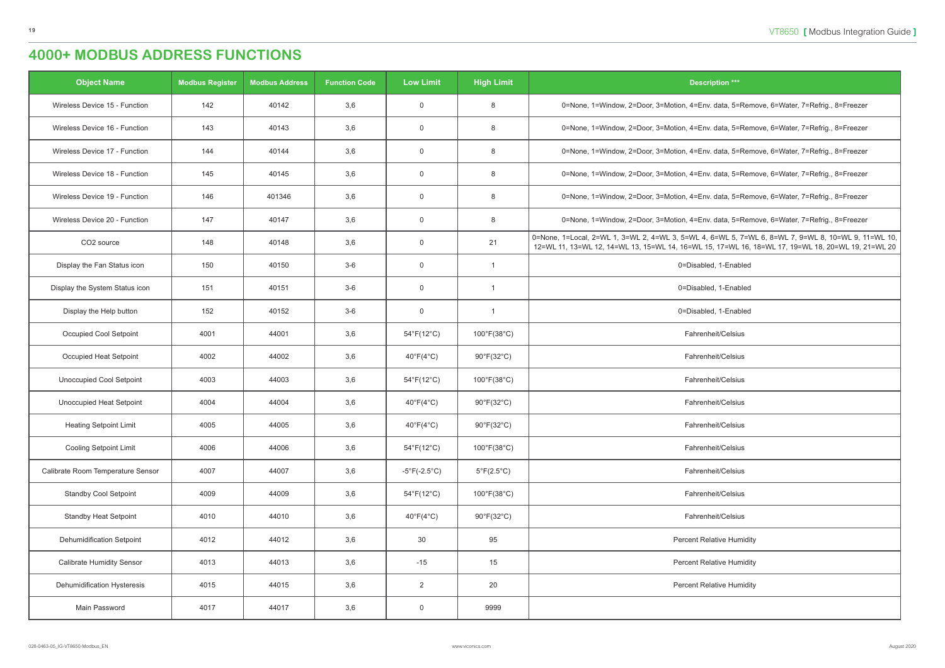| <b>Object Name</b>                | <b>Modbus Register</b> | <b>Modbus Address</b> | <b>Function Code</b> | <b>Low Limit</b>                  | <b>High Limit</b>                | <b>Description ***</b>                                                                                                                                                                                    |
|-----------------------------------|------------------------|-----------------------|----------------------|-----------------------------------|----------------------------------|-----------------------------------------------------------------------------------------------------------------------------------------------------------------------------------------------------------|
| Wireless Device 15 - Function     | 142                    | 40142                 | 3,6                  | $\overline{0}$                    | 8                                | 0=None, 1=Window, 2=Door, 3=Motion, 4=Env. data, 5=Remove, 6=Water, 7=Refrig., 8=Freezer                                                                                                                  |
| Wireless Device 16 - Function     | 143                    | 40143                 | 3,6                  | $\overline{0}$                    | 8                                | 0=None, 1=Window, 2=Door, 3=Motion, 4=Env. data, 5=Remove, 6=Water, 7=Refrig., 8=Freezer                                                                                                                  |
| Wireless Device 17 - Function     | 144                    | 40144                 | 3,6                  | $\overline{0}$                    | 8                                | 0=None, 1=Window, 2=Door, 3=Motion, 4=Env. data, 5=Remove, 6=Water, 7=Refrig., 8=Freezer                                                                                                                  |
| Wireless Device 18 - Function     | 145                    | 40145                 | 3,6                  | $\overline{0}$                    | 8                                | 0=None, 1=Window, 2=Door, 3=Motion, 4=Env. data, 5=Remove, 6=Water, 7=Refrig., 8=Freezer                                                                                                                  |
| Wireless Device 19 - Function     | 146                    | 401346                | 3,6                  | $\overline{0}$                    | 8                                | 0=None, 1=Window, 2=Door, 3=Motion, 4=Env. data, 5=Remove, 6=Water, 7=Refrig., 8=Freezer                                                                                                                  |
| Wireless Device 20 - Function     | 147                    | 40147                 | 3,6                  | $\overline{0}$                    | 8                                | 0=None, 1=Window, 2=Door, 3=Motion, 4=Env. data, 5=Remove, 6=Water, 7=Refrig., 8=Freezer                                                                                                                  |
| CO2 source                        | 148                    | 40148                 | 3,6                  | $\overline{0}$                    | 21                               | 0=None, 1=Local, 2=WL 1, 3=WL 2, 4=WL 3, 5=WL 4, 6=WL 5, 7=WL 6, 8=WL 7, 9=WL 8, 10=WL 9, 11=WL 10,<br>12=WL 11, 13=WL 12, 14=WL 13, 15=WL 14, 16=WL 15, 17=WL 16, 18=WL 17, 19=WL 18, 20=WL 19, 21=WL 20 |
| Display the Fan Status icon       | 150                    | 40150                 | $3-6$                | $\overline{0}$                    | -1                               | 0=Disabled, 1-Enabled                                                                                                                                                                                     |
| Display the System Status icon    | 151                    | 40151                 | $3-6$                | $\overline{0}$                    | -1                               | 0=Disabled, 1-Enabled                                                                                                                                                                                     |
| Display the Help button           | 152                    | 40152                 | $3-6$                | $\overline{0}$                    |                                  | 0=Disabled, 1-Enabled                                                                                                                                                                                     |
| Occupied Cool Setpoint            | 4001                   | 44001                 | 3,6                  | $54^{\circ}F(12^{\circ}C)$        | $100^{\circ}F(38^{\circ}C)$      | Fahrenheit/Celsius                                                                                                                                                                                        |
| Occupied Heat Setpoint            | 4002                   | 44002                 | 3,6                  | $40^{\circ}F(4^{\circ}C)$         | $90^{\circ}F(32^{\circ}C)$       | Fahrenheit/Celsius                                                                                                                                                                                        |
| <b>Unoccupied Cool Setpoint</b>   | 4003                   | 44003                 | 3,6                  | $54^{\circ}F(12^{\circ}C)$        | $100^{\circ}$ F(38 $^{\circ}$ C) | Fahrenheit/Celsius                                                                                                                                                                                        |
| <b>Unoccupied Heat Setpoint</b>   | 4004                   | 44004                 | 3,6                  | $40^{\circ}F(4^{\circ}C)$         | $90^{\circ}F(32^{\circ}C)$       | Fahrenheit/Celsius                                                                                                                                                                                        |
| <b>Heating Setpoint Limit</b>     | 4005                   | 44005                 | 3,6                  | $40^{\circ}$ F(4 $^{\circ}$ C)    | $90^{\circ}F(32^{\circ}C)$       | Fahrenheit/Celsius                                                                                                                                                                                        |
| <b>Cooling Setpoint Limit</b>     | 4006                   | 44006                 | 3,6                  | $54^{\circ}F(12^{\circ}C)$        | 100°F(38°C)                      | Fahrenheit/Celsius                                                                                                                                                                                        |
| Calibrate Room Temperature Sensor | 4007                   | 44007                 | 3,6                  | $-5^{\circ}$ F(-2.5 $^{\circ}$ C) | $5^{\circ}F(2.5^{\circ}C)$       | Fahrenheit/Celsius                                                                                                                                                                                        |
| <b>Standby Cool Setpoint</b>      | 4009                   | 44009                 | 3,6                  | $54^{\circ}F(12^{\circ}C)$        | $100^{\circ}F(38^{\circ}C)$      | Fahrenheit/Celsius                                                                                                                                                                                        |
| <b>Standby Heat Setpoint</b>      | 4010                   | 44010                 | 3,6                  | $40^{\circ}F(4^{\circ}C)$         | $90^{\circ}$ F(32 $^{\circ}$ C)  | Fahrenheit/Celsius                                                                                                                                                                                        |
| <b>Dehumidification Setpoint</b>  | 4012                   | 44012                 | 3,6                  | 30                                | 95                               | <b>Percent Relative Humidity</b>                                                                                                                                                                          |
| <b>Calibrate Humidity Sensor</b>  | 4013                   | 44013                 | 3,6                  | $-15$                             | 15                               | <b>Percent Relative Humidity</b>                                                                                                                                                                          |
| Dehumidification Hysteresis       | 4015                   | 44015                 | 3,6                  | $\overline{2}$                    | 20                               | <b>Percent Relative Humidity</b>                                                                                                                                                                          |
| Main Password                     | 4017                   | 44017                 | 3,6                  | $\overline{0}$                    | 9999                             |                                                                                                                                                                                                           |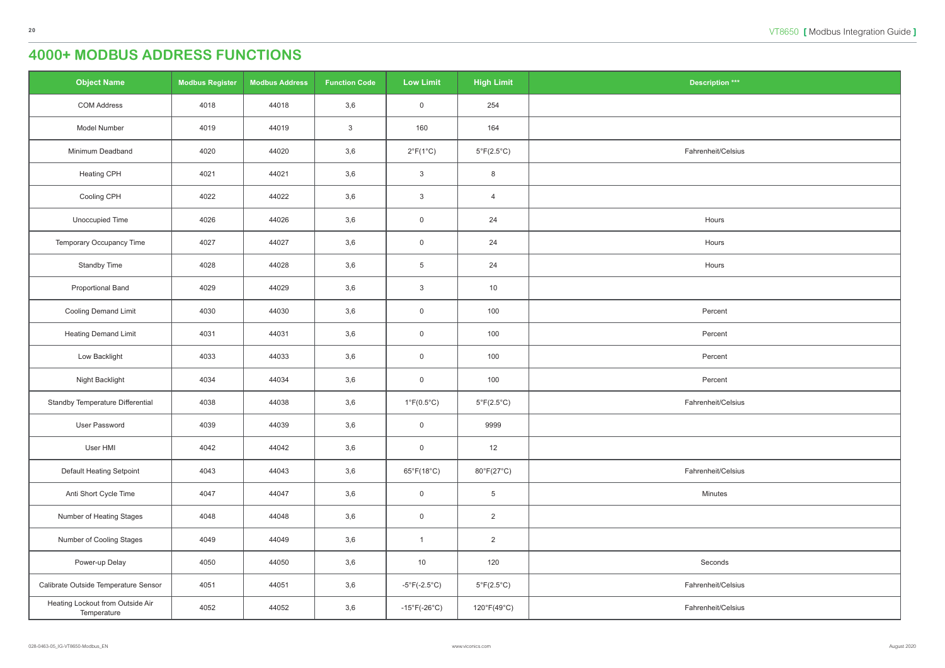| <b>Object Name</b>                              | <b>Modbus Register</b> | <b>Modbus Address</b> | <b>Function Code</b> | <b>Low Limit</b>                  | <b>High Limit</b>          | <b>Description ***</b> |
|-------------------------------------------------|------------------------|-----------------------|----------------------|-----------------------------------|----------------------------|------------------------|
| <b>COM Address</b>                              | 4018                   | 44018                 | 3,6                  | $\overline{0}$                    | 254                        |                        |
| Model Number                                    | 4019                   | 44019                 | $\mathbf{3}$         | 160                               | 164                        |                        |
| Minimum Deadband                                | 4020                   | 44020                 | 3,6                  | $2^{\circ}F(1^{\circ}C)$          | $5^{\circ}F(2.5^{\circ}C)$ | Fahrenheit/Celsius     |
| Heating CPH                                     | 4021                   | 44021                 | 3,6                  | $\mathbf{3}$                      | 8                          |                        |
| Cooling CPH                                     | 4022                   | 44022                 | 3,6                  | $\mathbf{3}$                      | $\overline{4}$             |                        |
| Unoccupied Time                                 | 4026                   | 44026                 | 3,6                  | $\mathsf 0$                       | 24                         | Hours                  |
| Temporary Occupancy Time                        | 4027                   | 44027                 | 3,6                  | $\overline{0}$                    | 24                         | Hours                  |
| <b>Standby Time</b>                             | 4028                   | 44028                 | 3,6                  | $\overline{5}$                    | 24                         | Hours                  |
| <b>Proportional Band</b>                        | 4029                   | 44029                 | 3,6                  | $\mathbf{3}$                      | 10                         |                        |
| Cooling Demand Limit                            | 4030                   | 44030                 | 3,6                  | $\mathsf 0$                       | 100                        | Percent                |
| <b>Heating Demand Limit</b>                     | 4031                   | 44031                 | 3,6                  | $\mathsf 0$                       | 100                        | Percent                |
| Low Backlight                                   | 4033                   | 44033                 | 3,6                  | $\overline{0}$                    | 100                        | Percent                |
| Night Backlight                                 | 4034                   | 44034                 | 3,6                  | $\overline{0}$                    | 100                        | Percent                |
| Standby Temperature Differential                | 4038                   | 44038                 | 3,6                  | $1^{\circ}$ F(0.5 $^{\circ}$ C)   | $5^{\circ}F(2.5^{\circ}C)$ | Fahrenheit/Celsius     |
| <b>User Password</b>                            | 4039                   | 44039                 | 3,6                  | $\overline{0}$                    | 9999                       |                        |
| User HMI                                        | 4042                   | 44042                 | 3,6                  | $\mathsf 0$                       | 12                         |                        |
| Default Heating Setpoint                        | 4043                   | 44043                 | 3,6                  | $65^{\circ}F(18^{\circ}C)$        | 80°F(27°C)                 | Fahrenheit/Celsius     |
| Anti Short Cycle Time                           | 4047                   | 44047                 | 3,6                  | $\overline{0}$                    | $\overline{5}$             | Minutes                |
| Number of Heating Stages                        | 4048                   | 44048                 | 3,6                  | $\overline{0}$                    | $\overline{2}$             |                        |
| Number of Cooling Stages                        | 4049                   | 44049                 | 3,6                  | $\overline{1}$                    | $\overline{2}$             |                        |
| Power-up Delay                                  | 4050                   | 44050                 | 3,6                  | 10                                | 120                        | Seconds                |
| Calibrate Outside Temperature Sensor            | 4051                   | 44051                 | 3,6                  | $-5^{\circ}F(-2.5^{\circ}C)$      | $5^{\circ}F(2.5^{\circ}C)$ | Fahrenheit/Celsius     |
| Heating Lockout from Outside Air<br>Temperature | 4052                   | 44052                 | 3,6                  | $-15^{\circ}$ F(-26 $^{\circ}$ C) | 120°F(49°C)                | Fahrenheit/Celsius     |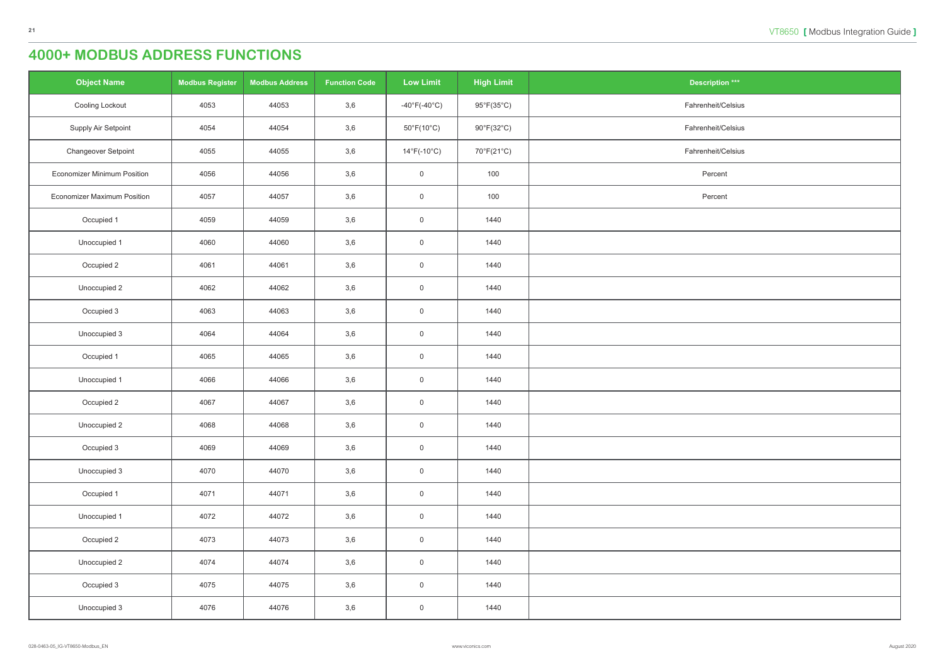| $ation***$  |
|-------------|
| eit/Celsius |
| eit/Celsius |
| eit/Celsius |
| cent        |
| cent        |
|             |
|             |
|             |
|             |
|             |
|             |
|             |
|             |
|             |
|             |
|             |
|             |
|             |
|             |
|             |
|             |
|             |
|             |

| <b>Object Name</b>                 | <b>Modbus Register</b> | <b>Modbus Address</b> | <b>Function Code</b> | <b>Low Limit</b>                  | <b>High Limit</b> | <b>Description ***</b> |
|------------------------------------|------------------------|-----------------------|----------------------|-----------------------------------|-------------------|------------------------|
| Cooling Lockout                    | 4053                   | 44053                 | 3,6                  | $-40^{\circ}$ F(-40 $^{\circ}$ C) | 95°F(35°C)        | Fahrenheit/Celsius     |
| Supply Air Setpoint                | 4054                   | 44054                 | 3,6                  | $50^{\circ}F(10^{\circ}C)$        | 90°F(32°C)        | Fahrenheit/Celsius     |
| Changeover Setpoint                | 4055                   | 44055                 | 3,6                  | $14^{\circ}$ F(-10 $^{\circ}$ C)  | 70°F(21°C)        | Fahrenheit/Celsius     |
| <b>Economizer Minimum Position</b> | 4056                   | 44056                 | 3,6                  | $\mathbf 0$                       | 100               | Percent                |
| <b>Economizer Maximum Position</b> | 4057                   | 44057                 | 3,6                  | $\boldsymbol{0}$                  | 100               | Percent                |
| Occupied 1                         | 4059                   | 44059                 | 3,6                  | $\mathbf 0$                       | 1440              |                        |
| Unoccupied 1                       | 4060                   | 44060                 | 3,6                  | $\overline{0}$                    | 1440              |                        |
| Occupied 2                         | 4061                   | 44061                 | 3,6                  | $\mathsf{O}\xspace$               | 1440              |                        |
| Unoccupied 2                       | 4062                   | 44062                 | 3,6                  | $\mathsf{O}\xspace$               | 1440              |                        |
| Occupied 3                         | 4063                   | 44063                 | 3,6                  | $\boldsymbol{0}$                  | 1440              |                        |
| Unoccupied 3                       | 4064                   | 44064                 | 3,6                  | $\mathbf 0$                       | 1440              |                        |
| Occupied 1                         | 4065                   | 44065                 | 3,6                  | $\overline{0}$                    | 1440              |                        |
| Unoccupied 1                       | 4066                   | 44066                 | 3,6                  | $\mathsf{O}\xspace$               | 1440              |                        |
| Occupied 2                         | 4067                   | 44067                 | 3,6                  | $\overline{0}$                    | 1440              |                        |
| Unoccupied 2                       | 4068                   | 44068                 | 3,6                  | $\mathbf 0$                       | 1440              |                        |
| Occupied 3                         | 4069                   | 44069                 | 3,6                  | $\mathsf{O}\xspace$               | 1440              |                        |
| Unoccupied 3                       | 4070                   | 44070                 | 3,6                  | $\mathsf{O}\xspace$               | 1440              |                        |
| Occupied 1                         | 4071                   | 44071                 | 3,6                  | $\mathsf{O}\xspace$               | 1440              |                        |
| Unoccupied 1                       | 4072                   | 44072                 | 3,6                  | $\mathsf{O}\xspace$               | 1440              |                        |
| Occupied 2                         | 4073                   | 44073                 | 3,6                  | $\mathsf{O}\xspace$               | 1440              |                        |
| Unoccupied 2                       | 4074                   | 44074                 | 3,6                  | $\mathsf{O}\xspace$               | 1440              |                        |
| Occupied 3                         | 4075                   | 44075                 | 3,6                  | $\mathsf{O}\xspace$               | 1440              |                        |
| Unoccupied 3                       | 4076                   | 44076                 | 3,6                  | $\mathbf 0$                       | 1440              |                        |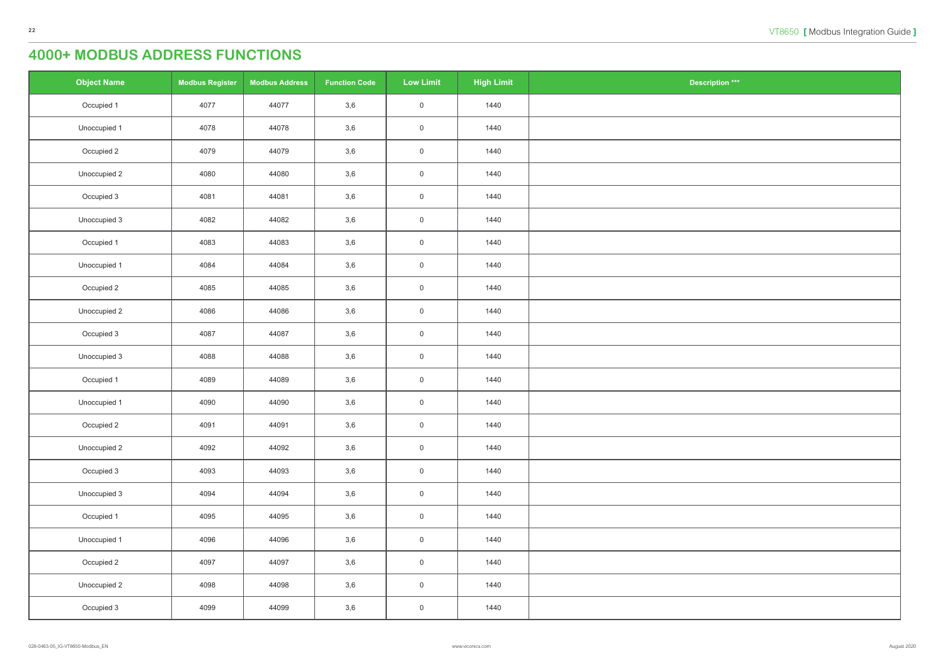| $\underline{\text{ation}} \stackrel{***}{\phantom{}_{\phantom{}_{\bf}}^{***}}$ |
|--------------------------------------------------------------------------------|
|                                                                                |
|                                                                                |
|                                                                                |
|                                                                                |
|                                                                                |
|                                                                                |
|                                                                                |
|                                                                                |
|                                                                                |
|                                                                                |
|                                                                                |
|                                                                                |
|                                                                                |
|                                                                                |
|                                                                                |
|                                                                                |
|                                                                                |
|                                                                                |
|                                                                                |
|                                                                                |
|                                                                                |
|                                                                                |
|                                                                                |
|                                                                                |
|                                                                                |

| <b>Object Name</b> | <b>Modbus Register</b> | <b>Modbus Address</b> | <b>Function Code</b> | <b>Low Limit</b>    | <b>High Limit</b> | <b>Description ***</b> |
|--------------------|------------------------|-----------------------|----------------------|---------------------|-------------------|------------------------|
| Occupied 1         | 4077                   | 44077                 | $3,6$                | $\mathsf{O}\xspace$ | 1440              |                        |
| Unoccupied 1       | 4078                   | 44078                 | 3,6                  | $\mathsf{O}\xspace$ | 1440              |                        |
| Occupied 2         | 4079                   | 44079                 | 3,6                  | $\mathsf{O}\xspace$ | 1440              |                        |
| Unoccupied 2       | 4080                   | 44080                 | 3,6                  | $\mathsf{O}\xspace$ | 1440              |                        |
| Occupied 3         | 4081                   | 44081                 | 3,6                  | $\mathsf{O}\xspace$ | 1440              |                        |
| Unoccupied 3       | 4082                   | 44082                 | 3,6                  | $\mathsf{O}\xspace$ | 1440              |                        |
| Occupied 1         | 4083                   | 44083                 | 3,6                  | $\mathsf{O}\xspace$ | 1440              |                        |
| Unoccupied 1       | 4084                   | 44084                 | $3,6$                | $\mathsf{O}\xspace$ | 1440              |                        |
| Occupied 2         | 4085                   | 44085                 | 3,6                  | $\mathsf{O}\xspace$ | 1440              |                        |
| Unoccupied 2       | 4086                   | 44086                 | 3,6                  | $\mathsf{O}\xspace$ | 1440              |                        |
| Occupied 3         | 4087                   | 44087                 | 3,6                  | $\mathsf{O}\xspace$ | 1440              |                        |
| Unoccupied 3       | 4088                   | 44088                 | 3,6                  | $\mathsf{O}\xspace$ | 1440              |                        |
| Occupied 1         | 4089                   | 44089                 | $3,6$                | $\mathsf{O}\xspace$ | 1440              |                        |
| Unoccupied 1       | 4090                   | 44090                 | 3,6                  | $\mathsf{O}\xspace$ | 1440              |                        |
| Occupied 2         | 4091                   | 44091                 | 3,6                  | 0                   | 1440              |                        |
| Unoccupied 2       | 4092                   | 44092                 | 3,6                  | $\mathsf{O}\xspace$ | 1440              |                        |
| Occupied 3         | 4093                   | 44093                 | 3,6                  | $\mathsf{O}\xspace$ | 1440              |                        |
| Unoccupied 3       | 4094                   | 44094                 | 3,6                  | $\mathsf{O}\xspace$ | 1440              |                        |
| Occupied 1         | 4095                   | 44095                 | 3,6                  | $\mathsf{O}\xspace$ | 1440              |                        |
| Unoccupied 1       | 4096                   | 44096                 | 3,6                  | $\mathsf{O}\xspace$ | 1440              |                        |
| Occupied 2         | 4097                   | 44097                 | 3,6                  | $\mathsf{O}\xspace$ | 1440              |                        |
| Unoccupied 2       | 4098                   | 44098                 | 3,6                  | $\mathsf{O}\xspace$ | 1440              |                        |
| Occupied 3         | 4099                   | 44099                 | 3,6                  | $\boldsymbol{0}$    | 1440              |                        |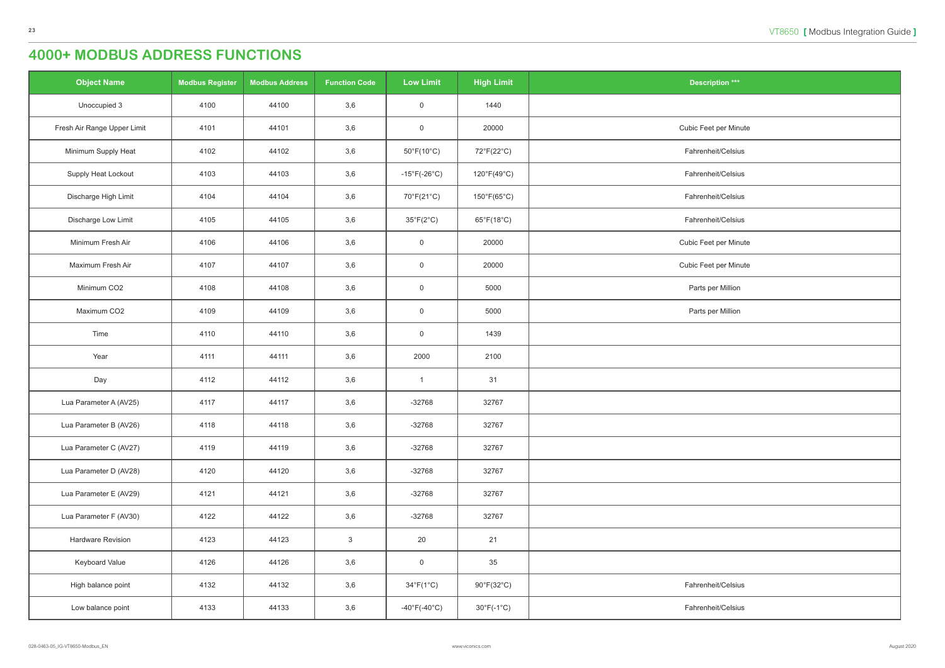| )tion $***$ |
|-------------|
|             |
| per Minute  |
| it/Celsius  |
| it/Celsius  |
| it/Celsius  |
| it/Celsius  |
| per Minute  |
| per Minute  |
| r Million   |
| r Million   |
|             |
|             |
|             |
|             |
|             |
|             |
|             |
|             |
|             |
|             |
|             |
| it/Celsius  |
| it/Celsius  |

| <b>Object Name</b>          | <b>Modbus Register</b> | <b>Modbus Address</b> | <b>Function Code</b> | <b>Low Limit</b>                  | <b>High Limit</b>               | <b>Description ***</b> |
|-----------------------------|------------------------|-----------------------|----------------------|-----------------------------------|---------------------------------|------------------------|
| Unoccupied 3                | 4100                   | 44100                 | 3,6                  | $\boldsymbol{0}$                  | 1440                            |                        |
| Fresh Air Range Upper Limit | 4101                   | 44101                 | 3,6                  | $\mathbf 0$                       | 20000                           | Cubic Feet per Minute  |
| Minimum Supply Heat         | 4102                   | 44102                 | 3,6                  | $50^{\circ}F(10^{\circ}C)$        | 72°F(22°C)                      | Fahrenheit/Celsius     |
| Supply Heat Lockout         | 4103                   | 44103                 | 3,6                  | $-15^{\circ}F(-26^{\circ}C)$      | 120°F(49°C)                     | Fahrenheit/Celsius     |
| Discharge High Limit        | 4104                   | 44104                 | 3,6                  | 70°F(21°C)                        | $150^{\circ}F(65^{\circ}C)$     | Fahrenheit/Celsius     |
| Discharge Low Limit         | 4105                   | 44105                 | 3,6                  | $35^{\circ}F(2^{\circ}C)$         | $65^{\circ}F(18^{\circ}C)$      | Fahrenheit/Celsius     |
| Minimum Fresh Air           | 4106                   | 44106                 | 3,6                  | $\mathbf 0$                       | 20000                           | Cubic Feet per Minute  |
| Maximum Fresh Air           | 4107                   | 44107                 | 3,6                  | $\mathbf 0$                       | 20000                           | Cubic Feet per Minute  |
| Minimum CO2                 | 4108                   | 44108                 | 3,6                  | $\mathbf 0$                       | 5000                            | Parts per Million      |
| Maximum CO2                 | 4109                   | 44109                 | 3,6                  | $\boldsymbol{0}$                  | 5000                            | Parts per Million      |
| Time                        | 4110                   | 44110                 | 3,6                  | $\boldsymbol{0}$                  | 1439                            |                        |
| Year                        | 4111                   | 44111                 | 3,6                  | 2000                              | 2100                            |                        |
| Day                         | 4112                   | 44112                 | 3,6                  | $\mathbf{1}$                      | 31                              |                        |
| Lua Parameter A (AV25)      | 4117                   | 44117                 | 3,6                  | $-32768$                          | 32767                           |                        |
| Lua Parameter B (AV26)      | 4118                   | 44118                 | 3,6                  | $-32768$                          | 32767                           |                        |
| Lua Parameter C (AV27)      | 4119                   | 44119                 | 3,6                  | $-32768$                          | 32767                           |                        |
| Lua Parameter D (AV28)      | 4120                   | 44120                 | 3,6                  | $-32768$                          | 32767                           |                        |
| Lua Parameter E (AV29)      | 4121                   | 44121                 | 3,6                  | $-32768$                          | 32767                           |                        |
| Lua Parameter F (AV30)      | 4122                   | 44122                 | 3,6                  | $-32768$                          | 32767                           |                        |
| Hardware Revision           | 4123                   | 44123                 | $\mathbf{3}$         | 20                                | 21                              |                        |
| Keyboard Value              | 4126                   | 44126                 | 3,6                  | $\mathbf 0$                       | 35                              |                        |
| High balance point          | 4132                   | 44132                 | 3,6                  | $34^{\circ}F(1^{\circ}C)$         | $90^{\circ}$ F(32 $^{\circ}$ C) | Fahrenheit/Celsius     |
| Low balance point           | 4133                   | 44133                 | 3,6                  | $-40^{\circ}$ F(-40 $^{\circ}$ C) | $30^{\circ}F(-1^{\circ}C)$      | Fahrenheit/Celsius     |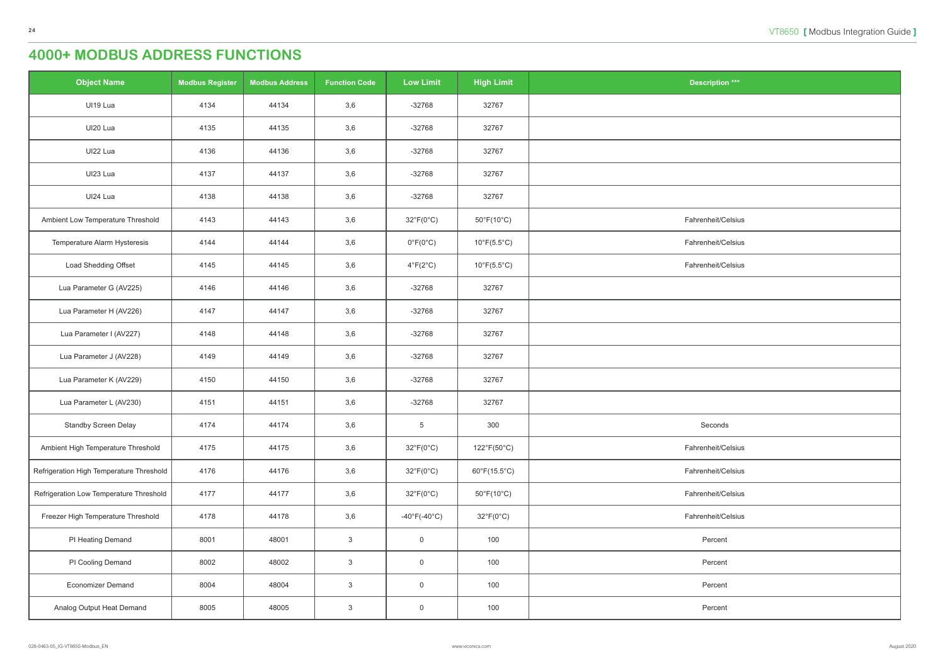| ition $***$ |  |
|-------------|--|
|             |  |
|             |  |
|             |  |
|             |  |
|             |  |
| it/Celsius  |  |
| it/Celsius  |  |
| it/Celsius  |  |
|             |  |
|             |  |
|             |  |
|             |  |
|             |  |
|             |  |
| onds        |  |
| it/Celsius  |  |
| it/Celsius  |  |
| it/Celsius  |  |
| it/Celsius  |  |
| cent        |  |
| cent        |  |
| cent        |  |
| cent        |  |

| <b>Object Name</b>                       | <b>Modbus Register</b> | <b>Modbus Address</b> | <b>Function Code</b> | <b>Low Limit</b>                  | <b>High Limit</b>               | <b>Description ***</b> |
|------------------------------------------|------------------------|-----------------------|----------------------|-----------------------------------|---------------------------------|------------------------|
| UI19 Lua                                 | 4134                   | 44134                 | 3,6                  | $-32768$                          | 32767                           |                        |
| UI20 Lua                                 | 4135                   | 44135                 | 3,6                  | $-32768$                          | 32767                           |                        |
| UI22 Lua                                 | 4136                   | 44136                 | 3,6                  | $-32768$                          | 32767                           |                        |
| UI23 Lua                                 | 4137                   | 44137                 | 3,6                  | $-32768$                          | 32767                           |                        |
| UI24 Lua                                 | 4138                   | 44138                 | 3,6                  | $-32768$                          | 32767                           |                        |
| Ambient Low Temperature Threshold        | 4143                   | 44143                 | 3,6                  | $32^{\circ}F(0^{\circ}C)$         | $50^{\circ}F(10^{\circ}C)$      | Fahrenheit/Celsius     |
| Temperature Alarm Hysteresis             | 4144                   | 44144                 | 3,6                  | $0^{\circ}F(0^{\circ}C)$          | $10^{\circ}F(5.5^{\circ}C)$     | Fahrenheit/Celsius     |
| Load Shedding Offset                     | 4145                   | 44145                 | 3,6                  | $4^{\circ}F(2^{\circ}C)$          | $10^{\circ}F(5.5^{\circ}C)$     | Fahrenheit/Celsius     |
| Lua Parameter G (AV225)                  | 4146                   | 44146                 | 3,6                  | $-32768$                          | 32767                           |                        |
| Lua Parameter H (AV226)                  | 4147                   | 44147                 | 3,6                  | $-32768$                          | 32767                           |                        |
| Lua Parameter I (AV227)                  | 4148                   | 44148                 | 3,6                  | $-32768$                          | 32767                           |                        |
| Lua Parameter J (AV228)                  | 4149                   | 44149                 | 3,6                  | $-32768$                          | 32767                           |                        |
| Lua Parameter K (AV229)                  | 4150                   | 44150                 | 3,6                  | $-32768$                          | 32767                           |                        |
| Lua Parameter L (AV230)                  | 4151                   | 44151                 | 3,6                  | $-32768$                          | 32767                           |                        |
| Standby Screen Delay                     | 4174                   | 44174                 | 3,6                  | $\overline{5}$                    | 300                             | Seconds                |
| Ambient High Temperature Threshold       | 4175                   | 44175                 | 3,6                  | $32^{\circ}F(0^{\circ}C)$         | 122°F(50°C)                     | Fahrenheit/Celsius     |
| Refrigeration High Temperature Threshold | 4176                   | 44176                 | 3,6                  | $32^{\circ}F(0^{\circ}C)$         | $60^{\circ}F(15.5^{\circ}C)$    | Fahrenheit/Celsius     |
| Refrigeration Low Temperature Threshold  | 4177                   | 44177                 | 3,6                  | $32^{\circ}F(0^{\circ}C)$         | $50^{\circ}$ F(10 $^{\circ}$ C) | Fahrenheit/Celsius     |
| Freezer High Temperature Threshold       | 4178                   | 44178                 | 3,6                  | $-40^{\circ}$ F(-40 $^{\circ}$ C) | $32^{\circ}F(0^{\circ}C)$       | Fahrenheit/Celsius     |
| PI Heating Demand                        | 8001                   | 48001                 | $\mathbf{3}$         | $\overline{0}$                    | 100                             | Percent                |
| PI Cooling Demand                        | 8002                   | 48002                 | $\mathbf{3}$         | $\overline{0}$                    | 100                             | Percent                |
| <b>Economizer Demand</b>                 | 8004                   | 48004                 | $\mathbf{3}$         | $\boldsymbol{0}$                  | 100                             | Percent                |
| Analog Output Heat Demand                | 8005                   | 48005                 | $\mathbf{3}$         | $\pmb{0}$                         | 100                             | Percent                |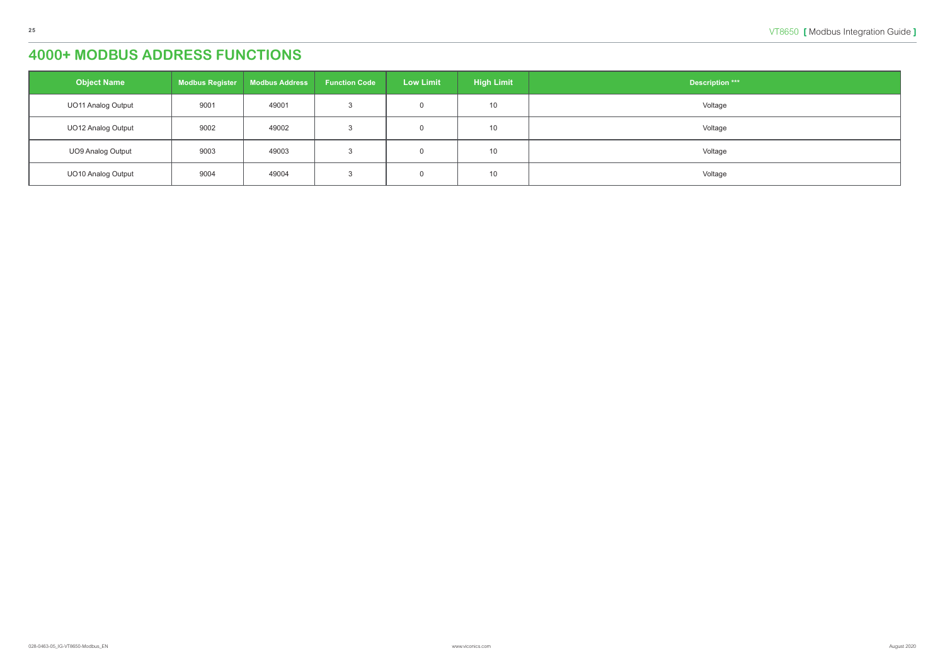| <b>Object Name</b>        | <b>Modbus Register</b> | <b>Modbus Address</b> | <b>Function Code</b> | <b>Low Limit</b> | <b>High Limit</b> | <b>Description ***</b> |
|---------------------------|------------------------|-----------------------|----------------------|------------------|-------------------|------------------------|
| <b>UO11 Analog Output</b> | 9001                   | 49001                 |                      |                  | 10 <sup>°</sup>   | Voltage                |
| <b>UO12 Analog Output</b> | 9002                   | 49002                 |                      |                  | 10 <sup>°</sup>   | Voltage                |
| UO9 Analog Output         | 9003                   | 49003                 |                      |                  | 10                | Voltage                |
| <b>UO10 Analog Output</b> | 9004                   | 49004                 |                      |                  | 10 <sup>°</sup>   | Voltage                |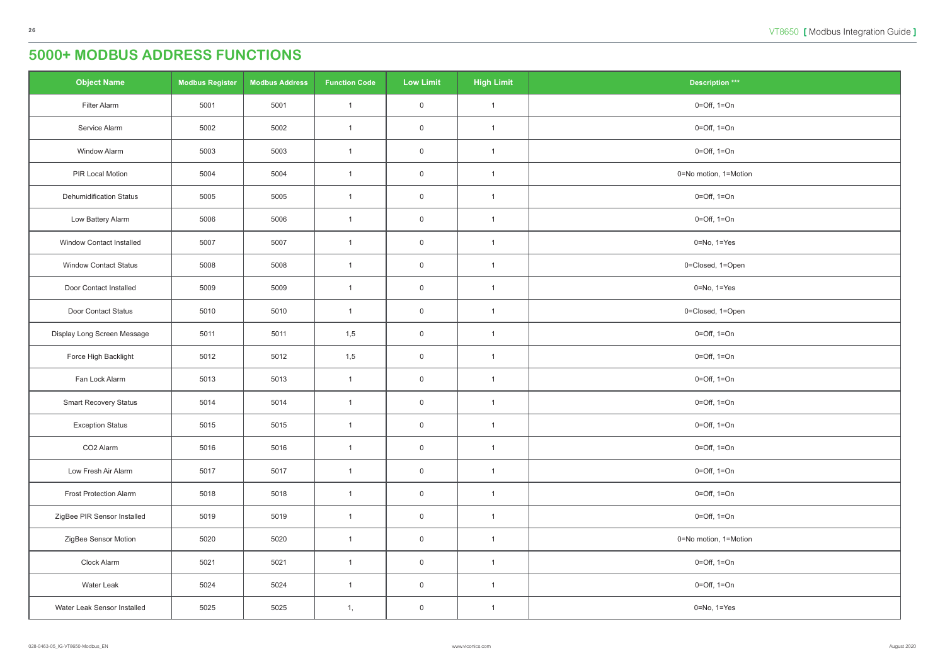<span id="page-25-0"></span>

| <b>Object Name</b>              | <b>Modbus Register</b> | <b>Modbus Address</b> | <b>Function Code</b> | <b>Low Limit</b> | <b>High Limit</b> | <b>Description ***</b>          |
|---------------------------------|------------------------|-----------------------|----------------------|------------------|-------------------|---------------------------------|
| Filter Alarm                    | 5001                   | 5001                  | $\mathbf{1}$         | $\mathsf 0$      | $\overline{1}$    | $0 = \text{Off}, 1 = \text{On}$ |
| Service Alarm                   | 5002                   | 5002                  | $\mathbf{1}$         | $\mathsf 0$      | $\overline{1}$    | $0 = \text{Off}, 1 = \text{On}$ |
| <b>Window Alarm</b>             | 5003                   | 5003                  | $\mathbf{1}$         | $\overline{0}$   | $\overline{1}$    | $0 = \text{Off}, 1 = \text{On}$ |
| PIR Local Motion                | 5004                   | 5004                  | $\mathbf{1}$         | $\mathsf 0$      | $\mathbf{1}$      | 0=No motion, 1=Motion           |
| <b>Dehumidification Status</b>  | 5005                   | 5005                  | $\mathbf{1}$         | $\mathsf 0$      | $\overline{1}$    | $0 = \text{Off}, 1 = \text{On}$ |
| Low Battery Alarm               | 5006                   | 5006                  | $\mathbf{1}$         | $\overline{0}$   | $\overline{1}$    | $0 = \text{Off}, 1 = \text{On}$ |
| <b>Window Contact Installed</b> | 5007                   | 5007                  | $\mathbf{1}$         | $\mathsf 0$      | $\overline{1}$    | $0 = No, 1 = Yes$               |
| <b>Window Contact Status</b>    | 5008                   | 5008                  | $\mathbf{1}$         | $\overline{0}$   | $\mathbf{1}$      | 0=Closed, 1=Open                |
| Door Contact Installed          | 5009                   | 5009                  | $\mathbf{1}$         | $\overline{0}$   | $\overline{1}$    | $0 = No, 1 = Yes$               |
| Door Contact Status             | 5010                   | 5010                  | $\mathbf{1}$         | $\mathsf 0$      | $\mathbf{1}$      | 0=Closed, 1=Open                |
| Display Long Screen Message     | 5011                   | 5011                  | 1,5                  | $\mathsf 0$      | $\overline{1}$    | $0 = \text{Off}, 1 = \text{On}$ |
| Force High Backlight            | 5012                   | 5012                  | 1,5                  | $\mathsf 0$      | $\overline{1}$    | $0 = \text{Off}, 1 = \text{On}$ |
| Fan Lock Alarm                  | 5013                   | 5013                  | $\mathbf{1}$         | $\overline{0}$   | $\overline{1}$    | $0 = \text{Off}, 1 = \text{On}$ |
| <b>Smart Recovery Status</b>    | 5014                   | 5014                  | $\mathbf{1}$         | $\overline{0}$   | $\mathbf{1}$      | $0 = \text{Off}, 1 = \text{On}$ |
| <b>Exception Status</b>         | 5015                   | 5015                  | $\mathbf{1}$         | $\mathbf 0$      | $\mathbf{1}$      | $0 = \text{Off}, 1 = \text{On}$ |
| CO <sub>2</sub> Alarm           | 5016                   | 5016                  | $\mathbf{1}$         | $\mathsf 0$      | $\mathbf{1}$      | $0 = \text{Off}, 1 = \text{On}$ |
| Low Fresh Air Alarm             | 5017                   | 5017                  | $\mathbf{1}$         | $\mathsf 0$      | $\mathbf{1}$      | $0 = \text{Off}, 1 = \text{On}$ |
| <b>Frost Protection Alarm</b>   | 5018                   | 5018                  | $\mathbf{1}$         | $\overline{0}$   | $\overline{1}$    | $0 = \text{Off}, 1 = \text{On}$ |
| ZigBee PIR Sensor Installed     | 5019                   | 5019                  | $\mathbf{1}$         | $\mathsf 0$      | $\mathbf{1}$      | $0 = \text{Off}, 1 = \text{On}$ |
| ZigBee Sensor Motion            | 5020                   | 5020                  | $\mathbf{1}$         | $\mathsf 0$      | $\mathbf{1}$      | 0=No motion, 1=Motion           |
| Clock Alarm                     | 5021                   | 5021                  | $\mathbf{1}$         | $\mathbf 0$      | $\overline{1}$    | $0 = \text{Off}, 1 = \text{On}$ |
| Water Leak                      | 5024                   | 5024                  | $\mathbf{1}$         | $\mathsf 0$      | $\mathbf{1}$      | $0 = \text{Off}, 1 = \text{On}$ |
| Water Leak Sensor Installed     | 5025                   | 5025                  | 1,                   | $\overline{0}$   | $\overline{1}$    | 0=No, 1=Yes                     |